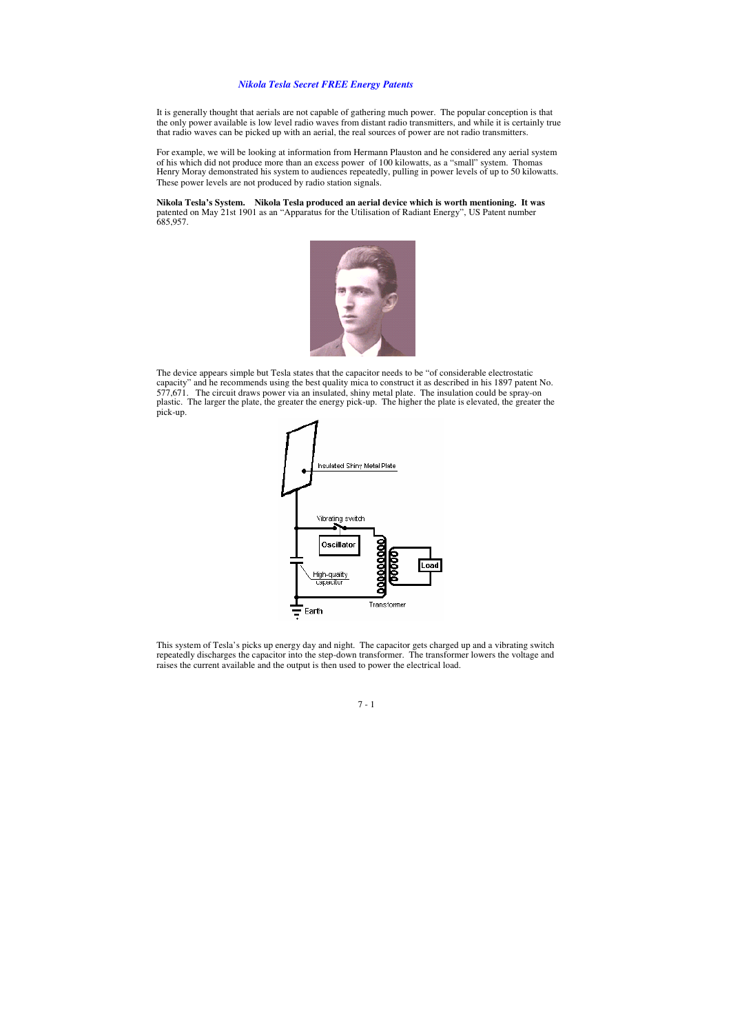## *Nikola Tesla Secret FREE Energy Patents*

It is generally thought that aerials are not capable of gathering much power. The popular conception is that the only power available is low level radio waves from distant radio transmitters, and while it is certainly true that radio waves can be picked up with an aerial, the real sources of power are not radio transmitters.

For example, we will be looking at information from Hermann Plauston and he considered any aerial system of his which did not produce more than an excess power of 100 kilowatts, as a "small" system. Thomas Henry Moray demonstrated his system to audiences repeatedly, pulling in power levels of up to 50 kilowatts. These power levels are not produced by radio station signals.

**Nikola Tesla's System. Nikola Tesla produced an aerial device which is worth mentioning. It was**  patented on May 21st 1901 as an "Apparatus for the Utilisation of Radiant Energy", US Patent number 685,957.



The device appears simple but Tesla states that the capacitor needs to be "of considerable electrostatic capacity" and he recommends using the best quality mica to construct it as described in his 1897 patent No. 577,671. The circuit draws power via an insulated, shiny metal plate. The insulation could be spray-on plastic. The larger the plate, the greater the energy pick-up. The higher the plate is elevated, the greater the pick-up.



This system of Tesla's picks up energy day and night. The capacitor gets charged up and a vibrating switch repeatedly discharges the capacitor into the step-down transformer. The transformer lowers the voltage and raises the current available and the output is then used to power the electrical load.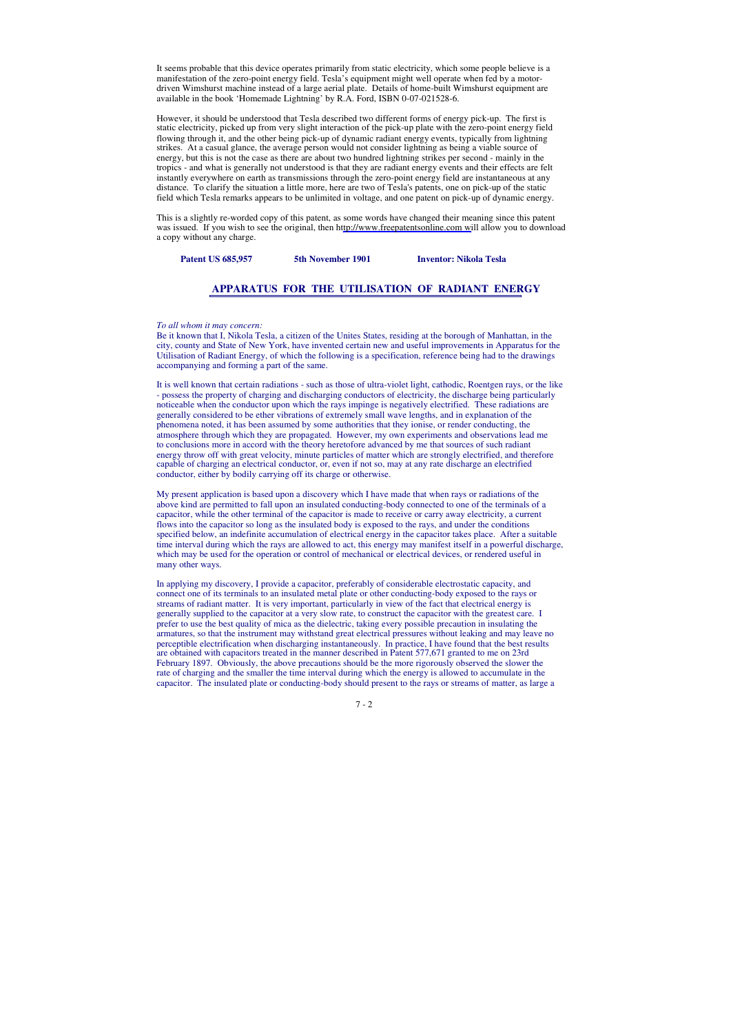It seems probable that this device operates primarily from static electricity, which some people believe is a manifestation of the zero-point energy field. Tesla's equipment might well operate when fed by a motordriven Wimshurst machine instead of a large aerial plate. Details of home-built Wimshurst equipment are available in the book 'Homemade Lightning' by R.A. Ford, ISBN 0-07-021528-6.

However, it should be understood that Tesla described two different forms of energy pick-up. The first is static electricity, picked up from very slight interaction of the pick-up plate with the zero-point energy field flowing through it, and the other being pick-up of dynamic radiant energy events, typically from lightning strikes. At a casual glance, the average person would not consider lightning as being a viable source of energy, but this is not the case as there are about two hundred lightning strikes per second - mainly in the tropics - and what is generally not understood is that they are radiant energy events and their effects are felt instantly everywhere on earth as transmissions through the zero-point energy field are instantaneous at any distance. To clarify the situation a little more, here are two of Tesla's patents, one on pick-up of the static field which Tesla remarks appears to be unlimited in voltage, and one patent on pick-up of dynamic energy.

This is a slightly re-worded copy of this patent, as some words have changed their meaning since this patent was issued. If you wish to see the original, then http://www.freepatentsonline.com will allow you to download a copy without any charge.

| <b>Patent US 685,957</b> | <b>5th November 1901</b> | <b>Inventor: Nikola Tesla</b> |
|--------------------------|--------------------------|-------------------------------|
|                          |                          |                               |

## **APPARATUS FOR THE UTILISATION OF RADIANT ENERGY**

#### *To all whom it may concern:*

Be it known that I, Nikola Tesla, a citizen of the Unites States, residing at the borough of Manhattan, in the city, county and State of New York, have invented certain new and useful improvements in Apparatus for the Utilisation of Radiant Energy, of which the following is a specification, reference being had to the drawings accompanying and forming a part of the same.

It is well known that certain radiations - such as those of ultra-violet light, cathodic, Roentgen rays, or the like - possess the property of charging and discharging conductors of electricity, the discharge being particularly noticeable when the conductor upon which the rays impinge is negatively electrified. These radiations are generally considered to be ether vibrations of extremely small wave lengths, and in explanation of the phenomena noted, it has been assumed by some authorities that they ionise, or render conducting, the atmosphere through which they are propagated. However, my own experiments and observations lead me to conclusions more in accord with the theory heretofore advanced by me that sources of such radiant energy throw off with great velocity, minute particles of matter which are strongly electrified, and therefore capable of charging an electrical conductor, or, even if not so, may at any rate discharge an electrified conductor, either by bodily carrying off its charge or otherwise.

My present application is based upon a discovery which I have made that when rays or radiations of the above kind are permitted to fall upon an insulated conducting-body connected to one of the terminals of a capacitor, while the other terminal of the capacitor is made to receive or carry away electricity, a current flows into the capacitor so long as the insulated body is exposed to the rays, and under the conditions specified below, an indefinite accumulation of electrical energy in the capacitor takes place. After a suitable time interval during which the rays are allowed to act, this energy may manifest itself in a powerful discharge, which may be used for the operation or control of mechanical or electrical devices, or rendered useful in many other ways.

In applying my discovery, I provide a capacitor, preferably of considerable electrostatic capacity, and connect one of its terminals to an insulated metal plate or other conducting-body exposed to the rays or streams of radiant matter. It is very important, particularly in view of the fact that electrical energy is generally supplied to the capacitor at a very slow rate, to construct the capacitor with the greatest care. I prefer to use the best quality of mica as the dielectric, taking every possible precaution in insulating the armatures, so that the instrument may withstand great electrical pressures without leaking and may leave no perceptible electrification when discharging instantaneously. In practice, I have found that the best results are obtained with capacitors treated in the manner described in Patent 577,671 granted to me on 23rd February 1897. Obviously, the above precautions should be the more rigorously observed the slower the rate of charging and the smaller the time interval during which the energy is allowed to accumulate in the capacitor. The insulated plate or conducting-body should present to the rays or streams of matter, as large a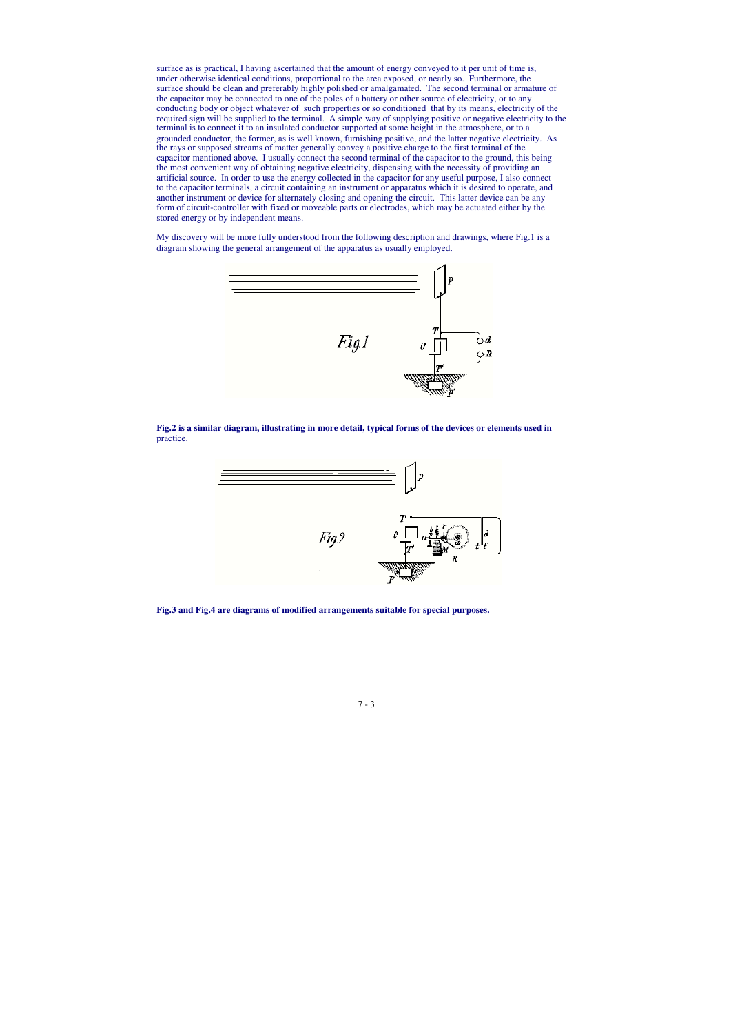surface as is practical, I having ascertained that the amount of energy conveyed to it per unit of time is, under otherwise identical conditions, proportional to the area exposed, or nearly so. Furthermore, the surface should be clean and preferably highly polished or amalgamated. The second terminal or armature of the capacitor may be connected to one of the poles of a battery or other source of electricity, or to any conducting body or object whatever of such properties or so conditioned that by its means, electricity of the required sign will be supplied to the terminal. A simple way of supplying positive or negative electricity to the terminal is to connect it to an insulated conductor supported at some height in the atmosphere, or to a grounded conductor, the former, as is well known, furnishing positive, and the latter negative electricity. As the rays or supposed streams of matter generally convey a positive charge to the first terminal of the capacitor mentioned above. I usually connect the second terminal of the capacitor to the ground, this being the most convenient way of obtaining negative electricity, dispensing with the necessity of providing an artificial source. In order to use the energy collected in the capacitor for any useful purpose, I also connect to the capacitor terminals, a circuit containing an instrument or apparatus which it is desired to operate, and another instrument or device for alternately closing and opening the circuit. This latter device can be any form of circuit-controller with fixed or moveable parts or electrodes, which may be actuated either by the stored energy or by independent means.

My discovery will be more fully understood from the following description and drawings, where Fig.1 is a diagram showing the general arrangement of the apparatus as usually employed.



**Fig.2 is a similar diagram, illustrating in more detail, typical forms of the devices or elements used in**  practice.



**Fig.3 and Fig.4 are diagrams of modified arrangements suitable for special purposes.**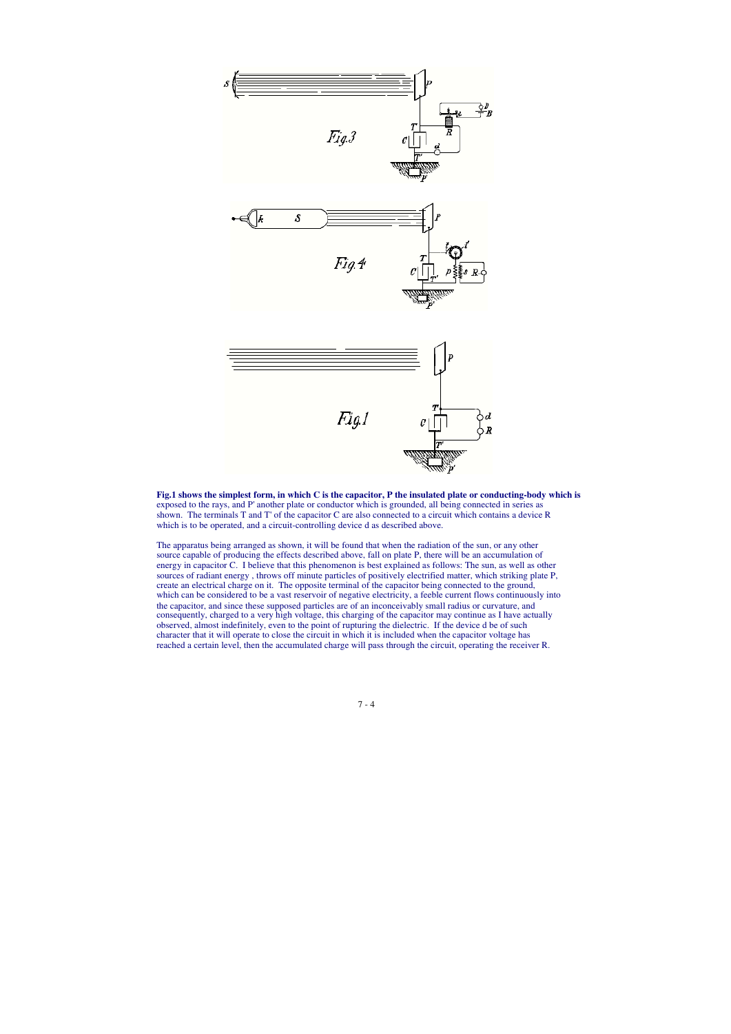

**Fig.1 shows the simplest form, in which C is the capacitor, P the insulated plate or conducting-body which is**  exposed to the rays, and P' another plate or conductor which is grounded, all being connected in series as shown. The terminals T and T' of the capacitor C are also connected to a circuit which contains a device R which is to be operated, and a circuit-controlling device d as described above.

The apparatus being arranged as shown, it will be found that when the radiation of the sun, or any other source capable of producing the effects described above, fall on plate P, there will be an accumulation of energy in capacitor C. I believe that this phenomenon is best explained as follows: The sun, as well as other sources of radiant energy , throws off minute particles of positively electrified matter, which striking plate P, create an electrical charge on it. The opposite terminal of the capacitor being connected to the ground, which can be considered to be a vast reservoir of negative electricity, a feeble current flows continuously into the capacitor, and since these supposed particles are of an inconceivably small radius or curvature, and consequently, charged to a very high voltage, this charging of the capacitor may continue as I have actually observed, almost indefinitely, even to the point of rupturing the dielectric. If the device d be of such character that it will operate to close the circuit in which it is included when the capacitor voltage has reached a certain level, then the accumulated charge will pass through the circuit, operating the receiver R.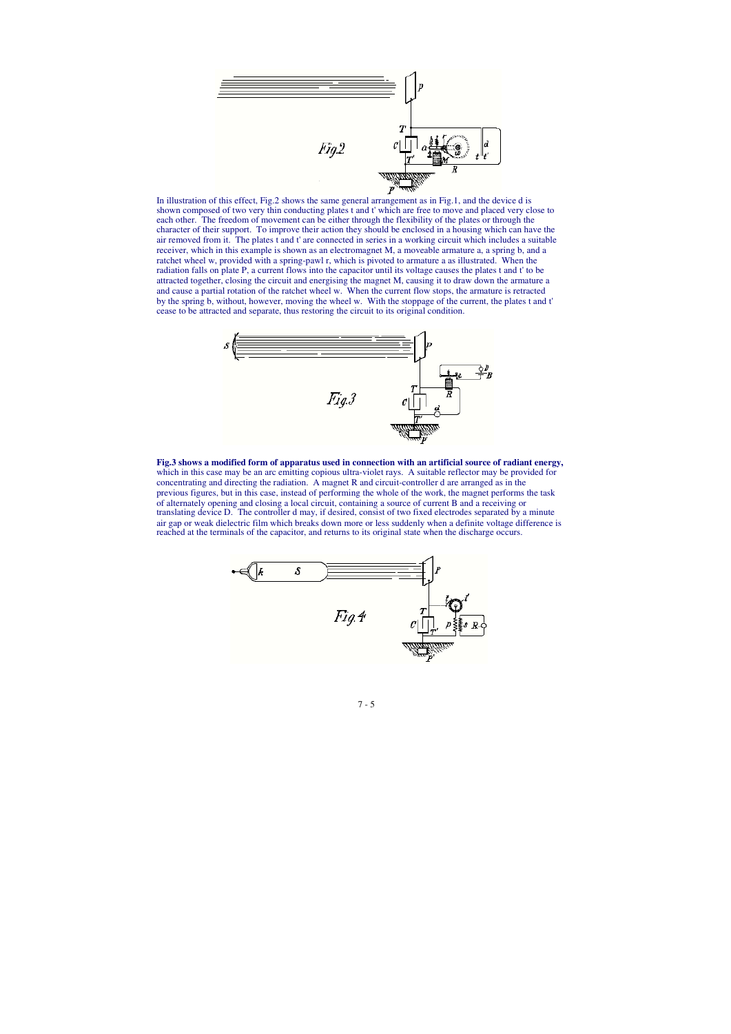

In illustration of this effect, Fig.2 shows the same general arrangement as in Fig.1, and the device d is shown composed of two very thin conducting plates t and t' which are free to move and placed very close to each other. The freedom of movement can be either through the flexibility of the plates or through the character of their support. To improve their action they should be enclosed in a housing which can have the air removed from it. The plates t and t' are connected in series in a working circuit which includes a suitable receiver, which in this example is shown as an electromagnet M, a moveable armature a, a spring b, and a ratchet wheel w, provided with a spring-pawl r, which is pivoted to armature a as illustrated. When the radiation falls on plate P, a current flows into the capacitor until its voltage causes the plates t and t' to be attracted together, closing the circuit and energising the magnet M, causing it to draw down the armature a and cause a partial rotation of the ratchet wheel w. When the current flow stops, the armature is retracted by the spring b, without, however, moving the wheel w. With the stoppage of the current, the plates t and t' cease to be attracted and separate, thus restoring the circuit to its original condition.





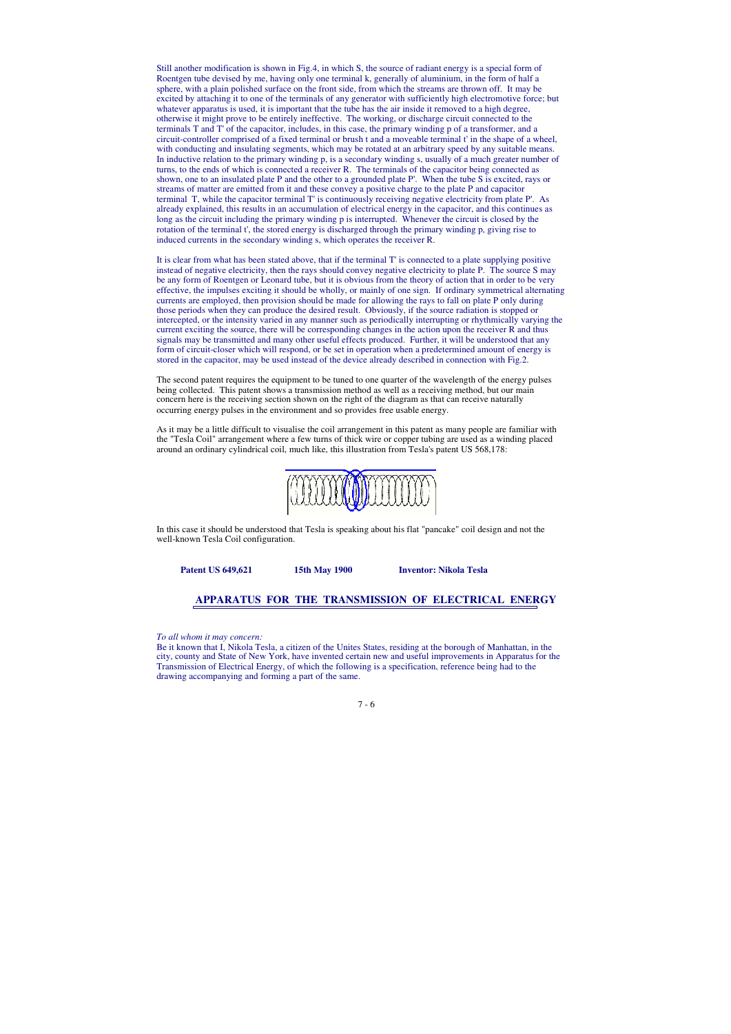Still another modification is shown in Fig.4, in which S, the source of radiant energy is a special form of Roentgen tube devised by me, having only one terminal k, generally of aluminium, in the form of half a sphere, with a plain polished surface on the front side, from which the streams are thrown off. It may be excited by attaching it to one of the terminals of any generator with sufficiently high electromotive force; but whatever apparatus is used, it is important that the tube has the air inside it removed to a high degree, otherwise it might prove to be entirely ineffective. The working, or discharge circuit connected to the terminals T and T' of the capacitor, includes, in this case, the primary winding p of a transformer, and a circuit-controller comprised of a fixed terminal or brush t and a moveable terminal t' in the shape of a wheel, with conducting and insulating segments, which may be rotated at an arbitrary speed by any suitable means. In inductive relation to the primary winding p, is a secondary winding s, usually of a much greater number of turns, to the ends of which is connected a receiver R. The terminals of the capacitor being connected as shown, one to an insulated plate P and the other to a grounded plate P'. When the tube S is excited, rays or streams of matter are emitted from it and these convey a positive charge to the plate P and capacitor terminal T, while the capacitor terminal T' is continuously receiving negative electricity from plate P'. As already explained, this results in an accumulation of electrical energy in the capacitor, and this continues as long as the circuit including the primary winding p is interrupted. Whenever the circuit is closed by the rotation of the terminal t', the stored energy is discharged through the primary winding p, giving rise to induced currents in the secondary winding s, which operates the receiver R.

It is clear from what has been stated above, that if the terminal T' is connected to a plate supplying positive instead of negative electricity, then the rays should convey negative electricity to plate P. The source S may be any form of Roentgen or Leonard tube, but it is obvious from the theory of action that in order to be very effective, the impulses exciting it should be wholly, or mainly of one sign. If ordinary symmetrical alternating currents are employed, then provision should be made for allowing the rays to fall on plate P only during those periods when they can produce the desired result. Obviously, if the source radiation is stopped or intercepted, or the intensity varied in any manner such as periodically interrupting or rhythmically varying the current exciting the source, there will be corresponding changes in the action upon the receiver R and thus signals may be transmitted and many other useful effects produced. Further, it will be understood that any form of circuit-closer which will respond, or be set in operation when a predetermined amount of energy is stored in the capacitor, may be used instead of the device already described in connection with Fig.2.

The second patent requires the equipment to be tuned to one quarter of the wavelength of the energy pulses being collected. This patent shows a transmission method as well as a receiving method, but our main concern here is the receiving section shown on the right of the diagram as that can receive naturally occurring energy pulses in the environment and so provides free usable energy.

As it may be a little difficult to visualise the coil arrangement in this patent as many people are familiar with the "Tesla Coil" arrangement where a few turns of thick wire or copper tubing are used as a winding placed around an ordinary cylindrical coil, much like, this illustration from Tesla's patent US 568,178:



In this case it should be understood that Tesla is speaking about his flat "pancake" coil design and not the well-known Tesla Coil configuration.

 **Patent US 649,621 15th May 1900 Inventor: Nikola Tesla** 

# **APPARATUS FOR THE TRANSMISSION OF ELECTRICAL ENERGY**

*To all whom it may concern:* 

Be it known that I, Nikola Tesla, a citizen of the Unites States, residing at the borough of Manhattan, in the city, county and State of New York, have invented certain new and useful improvements in Apparatus for the Transmission of Electrical Energy, of which the following is a specification, reference being had to the drawing accompanying and forming a part of the same.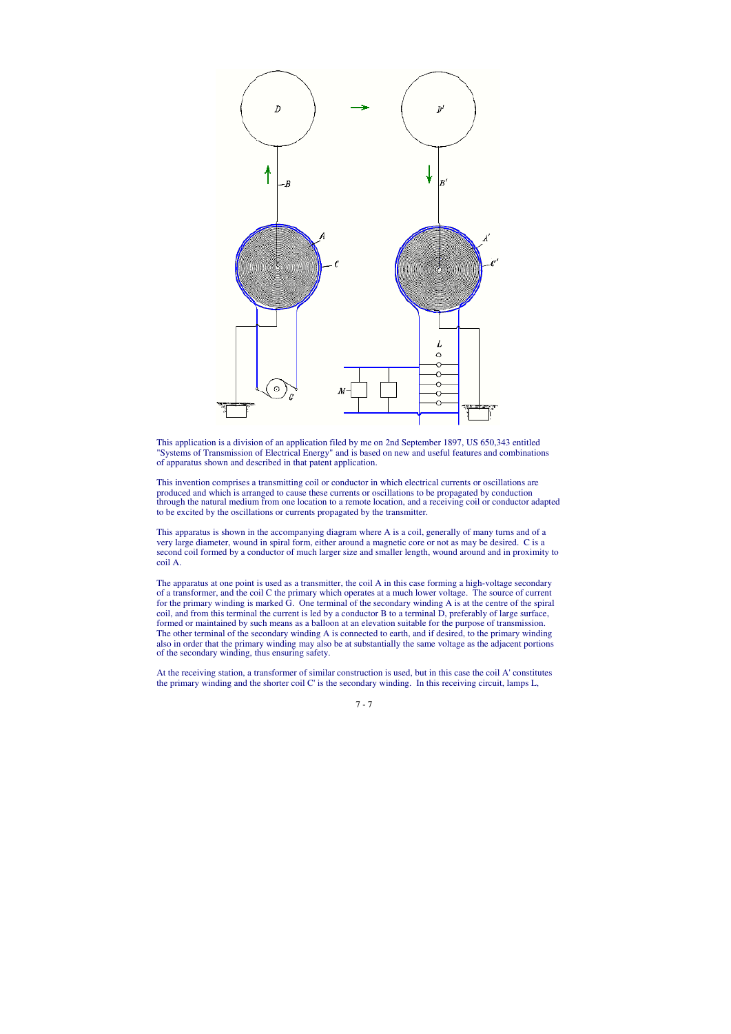

This application is a division of an application filed by me on 2nd September 1897, US 650,343 entitled "Systems of Transmission of Electrical Energy" and is based on new and useful features and combinations of apparatus shown and described in that patent application.

This invention comprises a transmitting coil or conductor in which electrical currents or oscillations are produced and which is arranged to cause these currents or oscillations to be propagated by conduction through the natural medium from one location to a remote location, and a receiving coil or conductor adapted to be excited by the oscillations or currents propagated by the transmitter.

This apparatus is shown in the accompanying diagram where A is a coil, generally of many turns and of a very large diameter, wound in spiral form, either around a magnetic core or not as may be desired. C is a second coil formed by a conductor of much larger size and smaller length, wound around and in proximity to coil A.

The apparatus at one point is used as a transmitter, the coil A in this case forming a high-voltage secondary of a transformer, and the coil C the primary which operates at a much lower voltage. The source of current for the primary winding is marked G. One terminal of the secondary winding A is at the centre of the spiral coil, and from this terminal the current is led by a conductor B to a terminal D, preferably of large surface, formed or maintained by such means as a balloon at an elevation suitable for the purpose of transmission. The other terminal of the secondary winding A is connected to earth, and if desired, to the primary winding also in order that the primary winding may also be at substantially the same voltage as the adjacent portions of the secondary winding, thus ensuring safety.

At the receiving station, a transformer of similar construction is used, but in this case the coil A' constitutes the primary winding and the shorter coil C' is the secondary winding. In this receiving circuit, lamps L,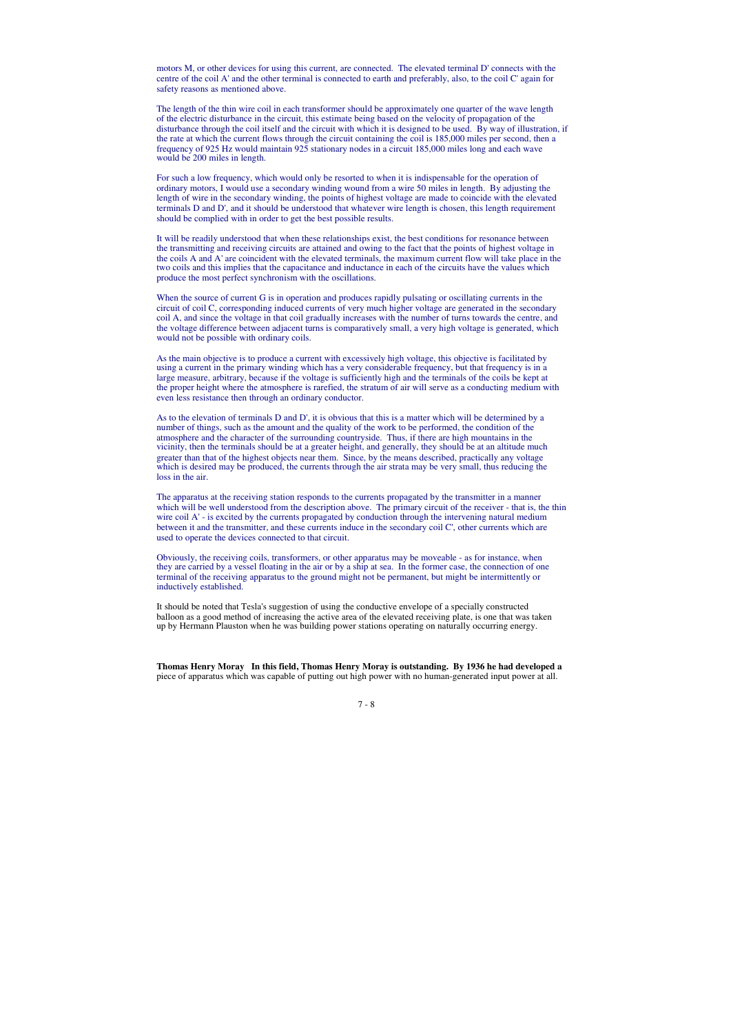motors M, or other devices for using this current, are connected. The elevated terminal D' connects with the centre of the coil A' and the other terminal is connected to earth and preferably, also, to the coil C' again for safety reasons as mentioned above.

The length of the thin wire coil in each transformer should be approximately one quarter of the wave length of the electric disturbance in the circuit, this estimate being based on the velocity of propagation of the disturbance through the coil itself and the circuit with which it is designed to be used. By way of illustration, if the rate at which the current flows through the circuit containing the coil is 185,000 miles per second, then a frequency of 925 Hz would maintain 925 stationary nodes in a circuit 185,000 miles long and each wave would be 200 miles in length.

For such a low frequency, which would only be resorted to when it is indispensable for the operation of ordinary motors, I would use a secondary winding wound from a wire 50 miles in length. By adjusting the length of wire in the secondary winding, the points of highest voltage are made to coincide with the elevated terminals D and D', and it should be understood that whatever wire length is chosen, this length requirement should be complied with in order to get the best possible results.

When the source of current G is in operation and produces rapidly pulsating or oscillating currents in the circuit of coil C, corresponding induced currents of very much higher voltage are generated in the secondary coil A, and since the voltage in that coil gradually increases with the number of turns towards the centre, and the voltage difference between adjacent turns is comparatively small, a very high voltage is generated, which would not be possible with ordinary coils.

It will be readily understood that when these relationships exist, the best conditions for resonance between the transmitting and receiving circuits are attained and owing to the fact that the points of highest voltage in the coils A and A' are coincident with the elevated terminals, the maximum current flow will take place in the two coils and this implies that the capacitance and inductance in each of the circuits have the values which produce the most perfect synchronism with the oscillations.

As the main objective is to produce a current with excessively high voltage, this objective is facilitated by using a current in the primary winding which has a very considerable frequency, but that frequency is in a large measure, arbitrary, because if the voltage is sufficiently high and the terminals of the coils be kept at the proper height where the atmosphere is rarefied, the stratum of air will serve as a conducting medium with even less resistance then through an ordinary conductor.

As to the elevation of terminals D and D', it is obvious that this is a matter which will be determined by a number of things, such as the amount and the quality of the work to be performed, the condition of the atmosphere and the character of the surrounding countryside. Thus, if there are high mountains in the vicinity, then the terminals should be at a greater height, and generally, they should be at an altitude much greater than that of the highest objects near them. Since, by the means described, practically any voltage which is desired may be produced, the currents through the air strata may be very small, thus reducing the loss in the air.

The apparatus at the receiving station responds to the currents propagated by the transmitter in a manner which will be well understood from the description above. The primary circuit of the receiver - that is, the thin wire coil A' - is excited by the currents propagated by conduction through the intervening natural medium between it and the transmitter, and these currents induce in the secondary coil C', other currents which are used to operate the devices connected to that circuit.

Obviously, the receiving coils, transformers, or other apparatus may be moveable - as for instance, when they are carried by a vessel floating in the air or by a ship at sea. In the former case, the connection of one terminal of the receiving apparatus to the ground might not be permanent, but might be intermittently or inductively established.

It should be noted that Tesla's suggestion of using the conductive envelope of a specially constructed balloon as a good method of increasing the active area of the elevated receiving plate, is one that was taken up by Hermann Plauston when he was building power stations operating on naturally occurring energy.

**Thomas Henry Moray In this field, Thomas Henry Moray is outstanding. By 1936 he had developed a**  piece of apparatus which was capable of putting out high power with no human-generated input power at all.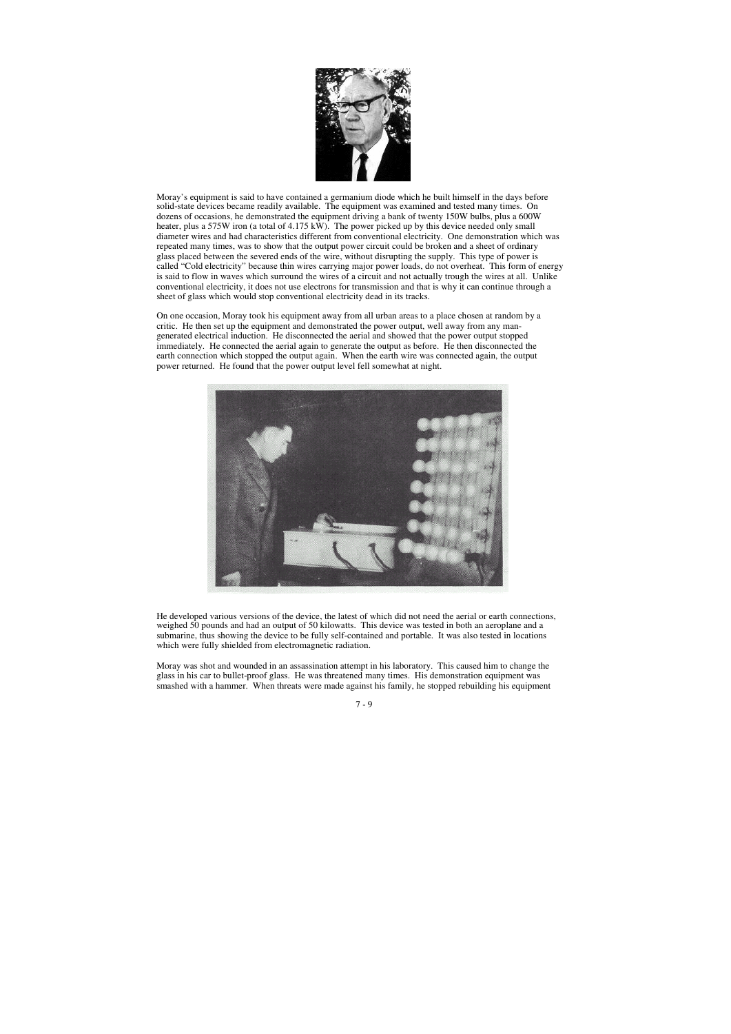

Moray's equipment is said to have contained a germanium diode which he built himself in the days before solid-state devices became readily available. The equipment was examined and tested many times. On dozens of occasions, he demonstrated the equipment driving a bank of twenty 150W bulbs, plus a 600W heater, plus a 575W iron (a total of 4.175 kW). The power picked up by this device needed only small diameter wires and had characteristics different from conventional electricity. One demonstration which was repeated many times, was to show that the output power circuit could be broken and a sheet of ordinary glass placed between the severed ends of the wire, without disrupting the supply. This type of power is called "Cold electricity" because thin wires carrying major power loads, do not overheat. This form of energy is said to flow in waves which surround the wires of a circuit and not actually trough the wires at all. Unlike conventional electricity, it does not use electrons for transmission and that is why it can continue through a sheet of glass which would stop conventional electricity dead in its tracks.

On one occasion, Moray took his equipment away from all urban areas to a place chosen at random by a critic. He then set up the equipment and demonstrated the power output, well away from any mangenerated electrical induction. He disconnected the aerial and showed that the power output stopped immediately. He connected the aerial again to generate the output as before. He then disconnected the earth connection which stopped the output again. When the earth wire was connected again, the output power returned. He found that the power output level fell somewhat at night.



He developed various versions of the device, the latest of which did not need the aerial or earth connections, weighed 50 pounds and had an output of 50 kilowatts. This device was tested in both an aeroplane and a submarine, thus showing the device to be fully self-contained and portable. It was also tested in locations which were fully shielded from electromagnetic radiation.

Moray was shot and wounded in an assassination attempt in his laboratory. This caused him to change the glass in his car to bullet-proof glass. He was threatened many times. His demonstration equipment was smashed with a hammer. When threats were made against his family, he stopped rebuilding his equipment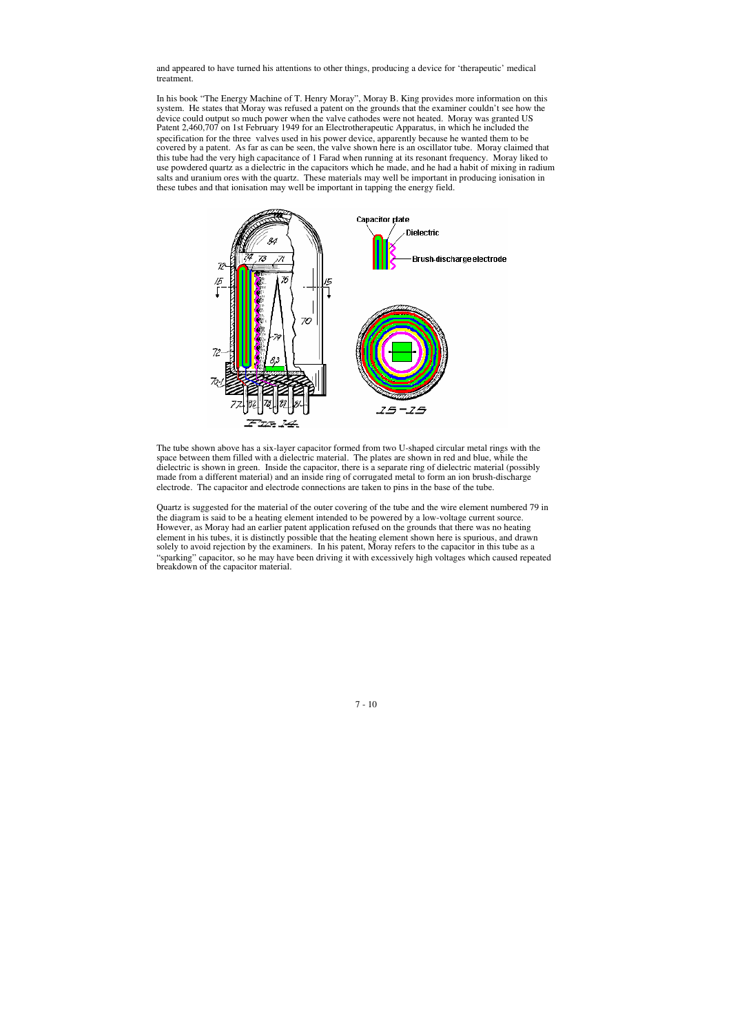and appeared to have turned his attentions to other things, producing a device for 'therapeutic' medical treatment.

In his book "The Energy Machine of T. Henry Moray", Moray B. King provides more information on this system. He states that Moray was refused a patent on the grounds that the examiner couldn't see how the device could output so much power when the valve cathodes were not heated. Moray was granted US Patent 2,460,707 on 1st February 1949 for an Electrotherapeutic Apparatus, in which he included the specification for the three valves used in his power device, apparently because he wanted them to be covered by a patent. As far as can be seen, the valve shown here is an oscillator tube. Moray claimed that this tube had the very high capacitance of 1 Farad when running at its resonant frequency. Moray liked to use powdered quartz as a dielectric in the capacitors which he made, and he had a habit of mixing in radium salts and uranium ores with the quartz. These materials may well be important in producing ionisation in these tubes and that ionisation may well be important in tapping the energy field.



The tube shown above has a six-layer capacitor formed from two U-shaped circular metal rings with the space between them filled with a dielectric material. The plates are shown in red and blue, while the dielectric is shown in green. Inside the capacitor, there is a separate ring of dielectric material (possibly made from a different material) and an inside ring of corrugated metal to form an ion brush-discharge electrode. The capacitor and electrode connections are taken to pins in the base of the tube.

Quartz is suggested for the material of the outer covering of the tube and the wire element numbered 79 in the diagram is said to be a heating element intended to be powered by a low-voltage current source. However, as Moray had an earlier patent application refused on the grounds that there was no heating element in his tubes, it is distinctly possible that the heating element shown here is spurious, and drawn solely to avoid rejection by the examiners. In his patent, Moray refers to the capacitor in this tube as a "sparking" capacitor, so he may have been driving it with excessively high voltages which caused repeated breakdown of the capacitor material.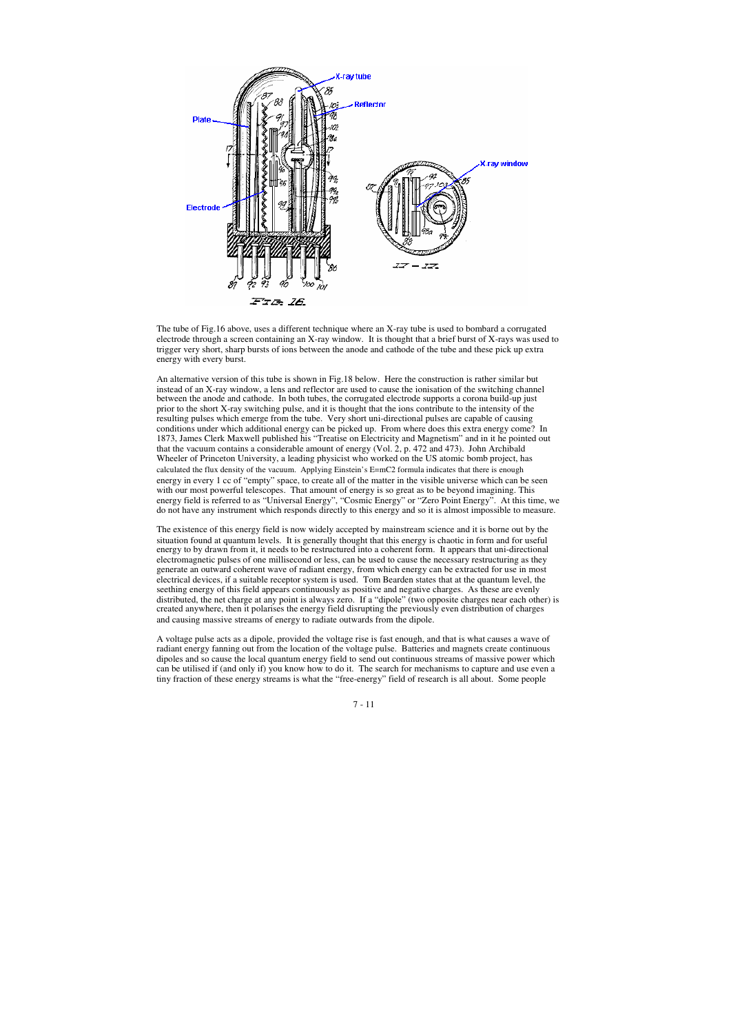

The tube of Fig.16 above, uses a different technique where an X-ray tube is used to bombard a corrugated electrode through a screen containing an X-ray window. It is thought that a brief burst of X-rays was used to trigger very short, sharp bursts of ions between the anode and cathode of the tube and these pick up extra energy with every burst.

An alternative version of this tube is shown in Fig.18 below. Here the construction is rather similar but instead of an X-ray window, a lens and reflector are used to cause the ionisation of the switching channel between the anode and cathode. In both tubes, the corrugated electrode supports a corona build-up just prior to the short X-ray switching pulse, and it is thought that the ions contribute to the intensity of the resulting pulses which emerge from the tube. Very short uni-directional pulses are capable of causing conditions under which additional energy can be picked up. From where does this extra energy come? In 1873, James Clerk Maxwell published his "Treatise on Electricity and Magnetism" and in it he pointed out that the vacuum contains a considerable amount of energy (Vol. 2, p. 472 and 473). John Archibald Wheeler of Princeton University, a leading physicist who worked on the US atomic bomb project, has calculated the flux density of the vacuum. Applying Einstein's E=mC2 formula indicates that there is enough energy in every 1 cc of "empty" space, to create all of the matter in the visible universe which can be seen with our most powerful telescopes. That amount of energy is so great as to be beyond imagining. This energy field is referred to as "Universal Energy", "Cosmic Energy" or "Zero Point Energy". At this time, we do not have any instrument which responds directly to this energy and so it is almost impossible to measure.

The existence of this energy field is now widely accepted by mainstream science and it is borne out by the situation found at quantum levels. It is generally thought that this energy is chaotic in form and for useful energy to by drawn from it, it needs to be restructured into a coherent form. It appears that uni-directional electromagnetic pulses of one millisecond or less, can be used to cause the necessary restructuring as they generate an outward coherent wave of radiant energy, from which energy can be extracted for use in most electrical devices, if a suitable receptor system is used. Tom Bearden states that at the quantum level, the seething energy of this field appears continuously as positive and negative charges. As these are evenly distributed, the net charge at any point is always zero. If a "dipole" (two opposite charges near each other) is created anywhere, then it polarises the energy field disrupting the previously even distribution of charges and causing massive streams of energy to radiate outwards from the dipole.

A voltage pulse acts as a dipole, provided the voltage rise is fast enough, and that is what causes a wave of radiant energy fanning out from the location of the voltage pulse. Batteries and magnets create continuous dipoles and so cause the local quantum energy field to send out continuous streams of massive power which can be utilised if (and only if) you know how to do it. The search for mechanisms to capture and use even a tiny fraction of these energy streams is what the "free-energy" field of research is all about. Some people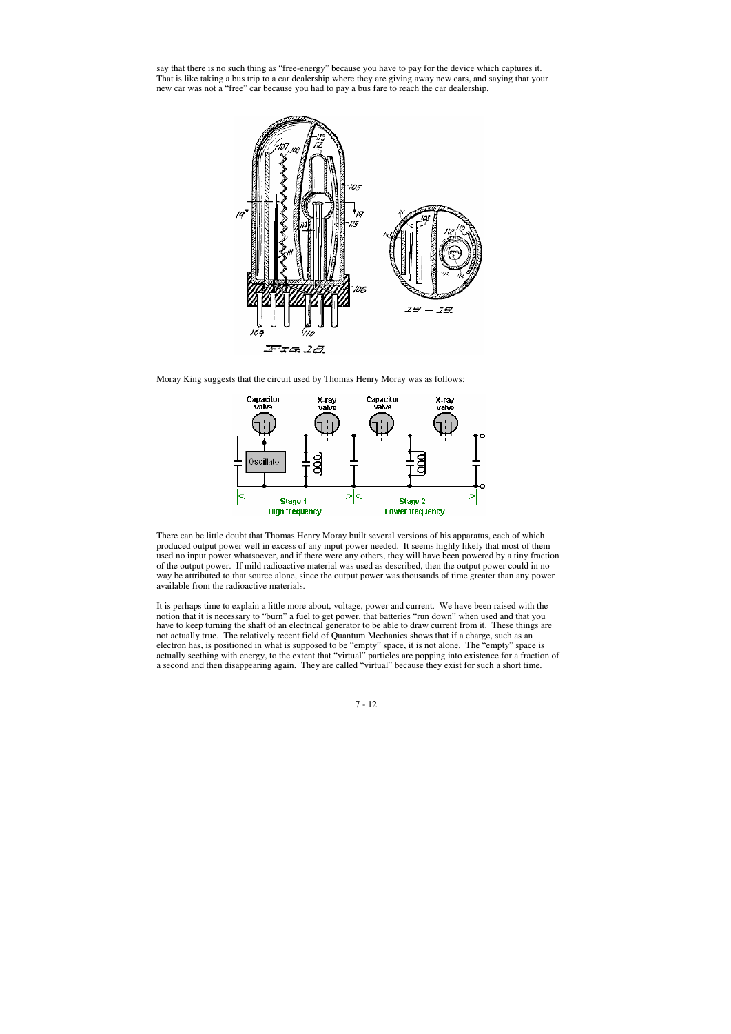say that there is no such thing as "free-energy" because you have to pay for the device which captures it. That is like taking a bus trip to a car dealership where they are giving away new cars, and saying that your new car was not a "free" car because you had to pay a bus fare to reach the car dealership.



Moray King suggests that the circuit used by Thomas Henry Moray was as follows:



There can be little doubt that Thomas Henry Moray built several versions of his apparatus, each of which produced output power well in excess of any input power needed. It seems highly likely that most of them used no input power whatsoever, and if there were any others, they will have been powered by a tiny fraction of the output power. If mild radioactive material was used as described, then the output power could in no way be attributed to that source alone, since the output power was thousands of time greater than any power available from the radioactive materials.

It is perhaps time to explain a little more about, voltage, power and current. We have been raised with the notion that it is necessary to "burn" a fuel to get power, that batteries "run down" when used and that you have to keep turning the shaft of an electrical generator to be able to draw current from it. These things are not actually true. The relatively recent field of Quantum Mechanics shows that if a charge, such as an electron has, is positioned in what is supposed to be "empty" space, it is not alone. The "empty" space is actually seething with energy, to the extent that "virtual" particles are popping into existence for a fraction of a second and then disappearing again. They are called "virtual" because they exist for such a short time.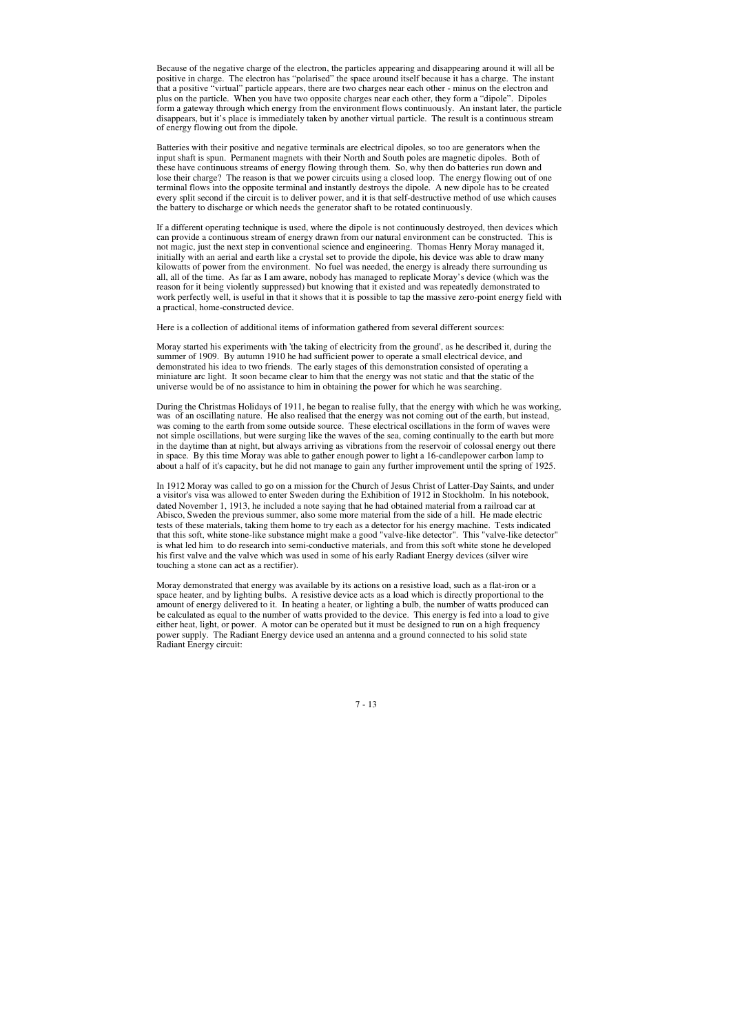Because of the negative charge of the electron, the particles appearing and disappearing around it will all be positive in charge. The electron has "polarised" the space around itself because it has a charge. The instant that a positive "virtual" particle appears, there are two charges near each other - minus on the electron and plus on the particle. When you have two opposite charges near each other, they form a "dipole". Dipoles form a gateway through which energy from the environment flows continuously. An instant later, the particle disappears, but it's place is immediately taken by another virtual particle. The result is a continuous stream of energy flowing out from the dipole.

Batteries with their positive and negative terminals are electrical dipoles, so too are generators when the input shaft is spun. Permanent magnets with their North and South poles are magnetic dipoles. Both of these have continuous streams of energy flowing through them. So, why then do batteries run down and lose their charge? The reason is that we power circuits using a closed loop. The energy flowing out of one terminal flows into the opposite terminal and instantly destroys the dipole. A new dipole has to be created every split second if the circuit is to deliver power, and it is that self-destructive method of use which causes the battery to discharge or which needs the generator shaft to be rotated continuously.

If a different operating technique is used, where the dipole is not continuously destroyed, then devices which can provide a continuous stream of energy drawn from our natural environment can be constructed. This is not magic, just the next step in conventional science and engineering. Thomas Henry Moray managed it, initially with an aerial and earth like a crystal set to provide the dipole, his device was able to draw many kilowatts of power from the environment. No fuel was needed, the energy is already there surrounding us all, all of the time. As far as I am aware, nobody has managed to replicate Moray's device (which was the reason for it being violently suppressed) but knowing that it existed and was repeatedly demonstrated to work perfectly well, is useful in that it shows that it is possible to tap the massive zero-point energy field with a practical, home-constructed device.

Here is a collection of additional items of information gathered from several different sources:

Moray started his experiments with 'the taking of electricity from the ground', as he described it, during the summer of 1909. By autumn 1910 he had sufficient power to operate a small electrical device, and demonstrated his idea to two friends. The early stages of this demonstration consisted of operating a miniature arc light. It soon became clear to him that the energy was not static and that the static of the universe would be of no assistance to him in obtaining the power for which he was searching.

During the Christmas Holidays of 1911, he began to realise fully, that the energy with which he was working, was of an oscillating nature. He also realised that the energy was not coming out of the earth, but instead, was coming to the earth from some outside source. These electrical oscillations in the form of waves were not simple oscillations, but were surging like the waves of the sea, coming continually to the earth but more in the daytime than at night, but always arriving as vibrations from the reservoir of colossal energy out there in space. By this time Moray was able to gather enough power to light a 16-candlepower carbon lamp to about a half of it's capacity, but he did not manage to gain any further improvement until the spring of 1925.

In 1912 Moray was called to go on a mission for the Church of Jesus Christ of Latter-Day Saints, and under a visitor's visa was allowed to enter Sweden during the Exhibition of 1912 in Stockholm. In his notebook, dated November 1, 1913, he included a note saying that he had obtained material from a railroad car at Abisco, Sweden the previous summer, also some more material from the side of a hill. He made electric tests of these materials, taking them home to try each as a detector for his energy machine. Tests indicated that this soft, white stone-like substance might make a good "valve-like detector". This "valve-like detector" is what led him to do research into semi-conductive materials, and from this soft white stone he developed his first valve and the valve which was used in some of his early Radiant Energy devices (silver wire touching a stone can act as a rectifier).

Moray demonstrated that energy was available by its actions on a resistive load, such as a flat-iron or a space heater, and by lighting bulbs. A resistive device acts as a load which is directly proportional to the amount of energy delivered to it. In heating a heater, or lighting a bulb, the number of watts produced can be calculated as equal to the number of watts provided to the device. This energy is fed into a load to give either heat, light, or power. A motor can be operated but it must be designed to run on a high frequency power supply. The Radiant Energy device used an antenna and a ground connected to his solid state Radiant Energy circuit: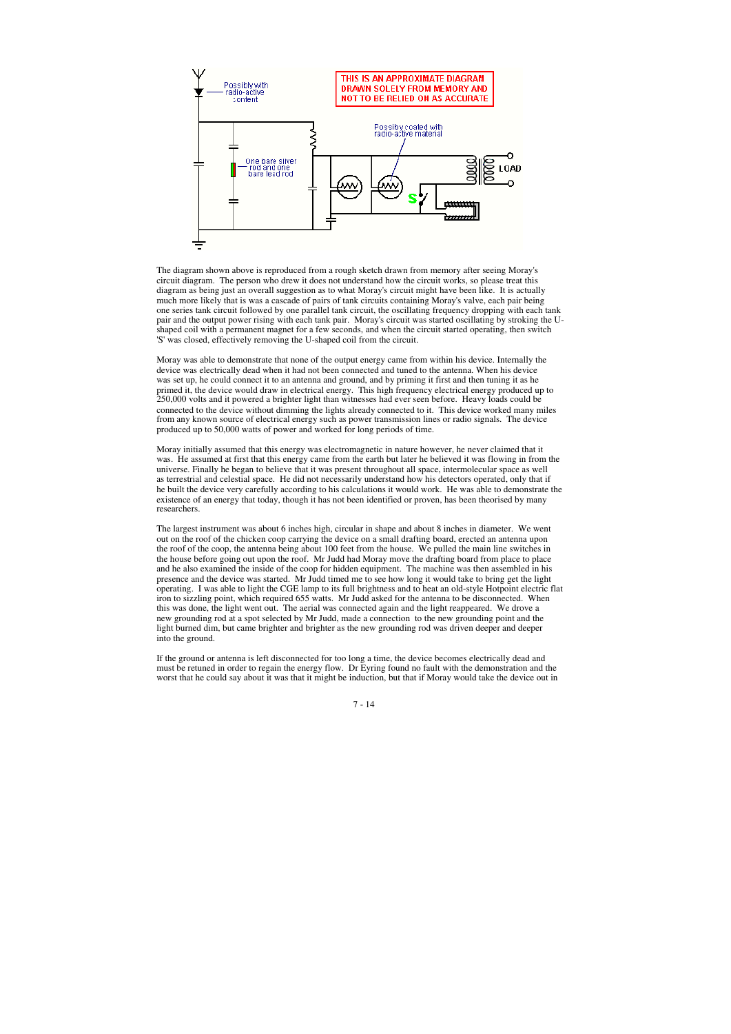

The diagram shown above is reproduced from a rough sketch drawn from memory after seeing Moray's circuit diagram. The person who drew it does not understand how the circuit works, so please treat this diagram as being just an overall suggestion as to what Moray's circuit might have been like. It is actually much more likely that is was a cascade of pairs of tank circuits containing Moray's valve, each pair being one series tank circuit followed by one parallel tank circuit, the oscillating frequency dropping with each tank pair and the output power rising with each tank pair. Moray's circuit was started oscillating by stroking the Ushaped coil with a permanent magnet for a few seconds, and when the circuit started operating, then switch 'S' was closed, effectively removing the U-shaped coil from the circuit.

Moray was able to demonstrate that none of the output energy came from within his device. Internally the device was electrically dead when it had not been connected and tuned to the antenna. When his device was set up, he could connect it to an antenna and ground, and by priming it first and then tuning it as he primed it, the device would draw in electrical energy. This high frequency electrical energy produced up to 250,000 volts and it powered a brighter light than witnesses had ever seen before. Heavy loads could be connected to the device without dimming the lights already connected to it. This device worked many miles from any known source of electrical energy such as power transmission lines or radio signals. The device produced up to 50,000 watts of power and worked for long periods of time.

Moray initially assumed that this energy was electromagnetic in nature however, he never claimed that it was. He assumed at first that this energy came from the earth but later he believed it was flowing in from the universe. Finally he began to believe that it was present throughout all space, intermolecular space as well as terrestrial and celestial space. He did not necessarily understand how his detectors operated, only that if he built the device very carefully according to his calculations it would work. He was able to demonstrate the existence of an energy that today, though it has not been identified or proven, has been theorised by many researchers.

The largest instrument was about 6 inches high, circular in shape and about 8 inches in diameter. We went out on the roof of the chicken coop carrying the device on a small drafting board, erected an antenna upon the roof of the coop, the antenna being about 100 feet from the house. We pulled the main line switches in the house before going out upon the roof. Mr Judd had Moray move the drafting board from place to place and he also examined the inside of the coop for hidden equipment. The machine was then assembled in his presence and the device was started. Mr Judd timed me to see how long it would take to bring get the light operating. I was able to light the CGE lamp to its full brightness and to heat an old-style Hotpoint electric flat iron to sizzling point, which required 655 watts. Mr Judd asked for the antenna to be disconnected. When this was done, the light went out. The aerial was connected again and the light reappeared. We drove a new grounding rod at a spot selected by Mr Judd, made a connection to the new grounding point and the light burned dim, but came brighter and brighter as the new grounding rod was driven deeper and deeper into the ground.

If the ground or antenna is left disconnected for too long a time, the device becomes electrically dead and must be retuned in order to regain the energy flow. Dr Eyring found no fault with the demonstration and the worst that he could say about it was that it might be induction, but that if Moray would take the device out in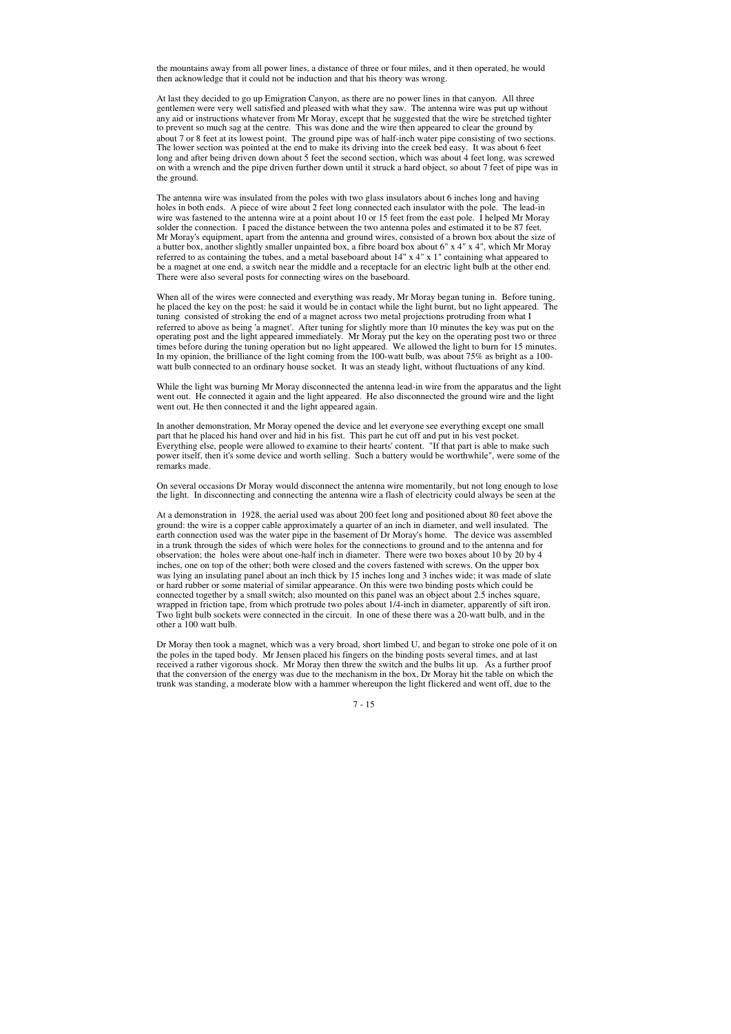the mountains away from all power lines, a distance of three or four miles, and it then operated, he would then acknowledge that it could not be induction and that his theory was wrong.

At last they decided to go up Emigration Canyon, as there are no power lines in that canyon. All three gentlemen were very well satisfied and pleased with what they saw. The antenna wire was put up without any aid or instructions whatever from Mr Moray, except that he suggested that the wire be stretched tighter to prevent so much sag at the centre. This was done and the wire then appeared to clear the ground by about 7 or 8 feet at its lowest point. The ground pipe was of half-inch water pipe consisting of two sections. The lower section was pointed at the end to make its driving into the creek bed easy. It was about 6 feet long and after being driven down about 5 feet the second section, which was about 4 feet long, was screwed on with a wrench and the pipe driven further down until it struck a hard object, so about 7 feet of pipe was in the ground.

When all of the wires were connected and everything was ready, Mr Moray began tuning in. Before tuning, he placed the key on the post: he said it would be in contact while the light burnt, but no light appeared. The tuning consisted of stroking the end of a magnet across two metal projections protruding from what I referred to above as being 'a magnet'. After tuning for slightly more than 10 minutes the key was put on the operating post and the light appeared immediately. Mr Moray put the key on the operating post two or three times before during the tuning operation but no light appeared. We allowed the light to burn for 15 minutes. In my opinion, the brilliance of the light coming from the 100-watt bulb, was about 75% as bright as a 100 watt bulb connected to an ordinary house socket. It was an steady light, without fluctuations of any kind.

The antenna wire was insulated from the poles with two glass insulators about 6 inches long and having holes in both ends. A piece of wire about 2 feet long connected each insulator with the pole. The lead-in wire was fastened to the antenna wire at a point about 10 or 15 feet from the east pole. I helped Mr Moray solder the connection. I paced the distance between the two antenna poles and estimated it to be 87 feet. Mr Moray's equipment, apart from the antenna and ground wires, consisted of a brown box about the size of a butter box, another slightly smaller unpainted box, a fibre board box about 6" x 4" x 4", which Mr Moray referred to as containing the tubes, and a metal baseboard about 14" x 4" x 1" containing what appeared to be a magnet at one end, a switch near the middle and a receptacle for an electric light bulb at the other end. There were also several posts for connecting wires on the baseboard.

While the light was burning Mr Moray disconnected the antenna lead-in wire from the apparatus and the light went out. He connected it again and the light appeared. He also disconnected the ground wire and the light went out. He then connected it and the light appeared again.

In another demonstration, Mr Moray opened the device and let everyone see everything except one small part that he placed his hand over and hid in his fist. This part he cut off and put in his vest pocket. Everything else, people were allowed to examine to their hearts' content. "If that part is able to make such power itself, then it's some device and worth selling. Such a battery would be worthwhile", were some of the remarks made.

On several occasions Dr Moray would disconnect the antenna wire momentarily, but not long enough to lose the light. In disconnecting and connecting the antenna wire a flash of electricity could always be seen at the

At a demonstration in 1928, the aerial used was about 200 feet long and positioned about 80 feet above the ground: the wire is a copper cable approximately a quarter of an inch in diameter, and well insulated. The earth connection used was the water pipe in the basement of Dr Moray's home. The device was assembled in a trunk through the sides of which were holes for the connections to ground and to the antenna and for observation; the holes were about one-half inch in diameter. There were two boxes about 10 by 20 by 4 inches, one on top of the other; both were closed and the covers fastened with screws. On the upper box was lying an insulating panel about an inch thick by 15 inches long and 3 inches wide; it was made of slate or hard rubber or some material of similar appearance. On this were two binding posts which could be connected together by a small switch; also mounted on this panel was an object about 2.5 inches square, wrapped in friction tape, from which protrude two poles about 1/4-inch in diameter, apparently of sift iron. Two light bulb sockets were connected in the circuit. In one of these there was a 20-watt bulb, and in the other a 100 watt bulb.

Dr Moray then took a magnet, which was a very broad, short limbed U, and began to stroke one pole of it on the poles in the taped body. Mr Jensen placed his fingers on the binding posts several times, and at last received a rather vigorous shock. Mr Moray then threw the switch and the bulbs lit up. As a further proof that the conversion of the energy was due to the mechanism in the box, Dr Moray hit the table on which the trunk was standing, a moderate blow with a hammer whereupon the light flickered and went off, due to the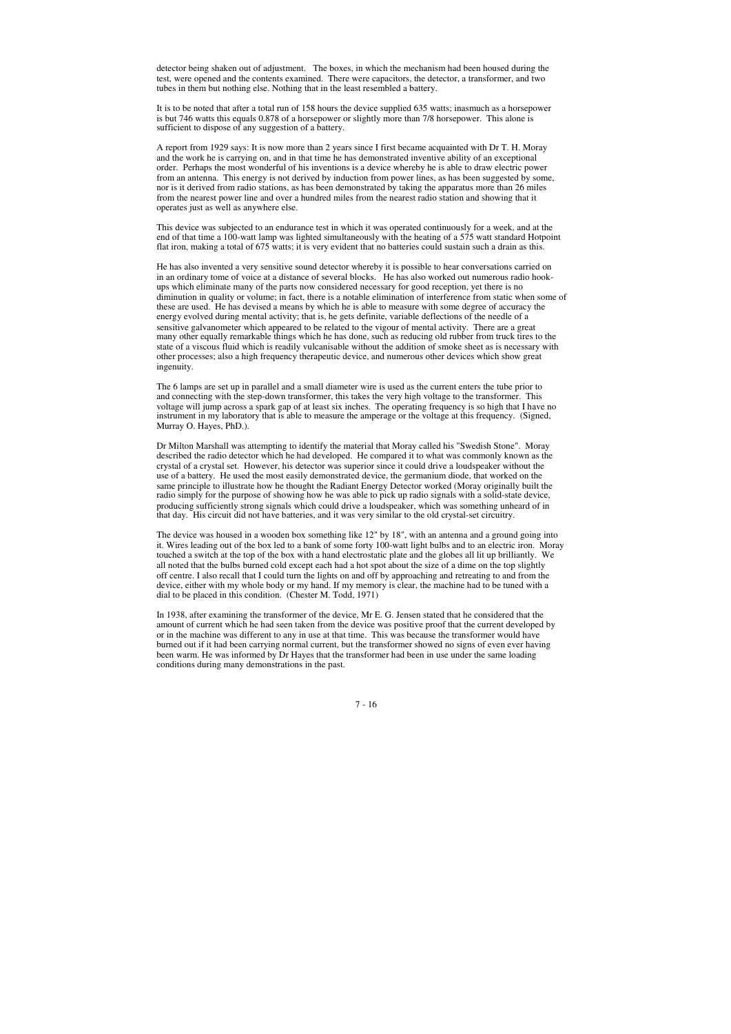detector being shaken out of adjustment. The boxes, in which the mechanism had been housed during the test, were opened and the contents examined. There were capacitors, the detector, a transformer, and two tubes in them but nothing else. Nothing that in the least resembled a battery.

It is to be noted that after a total run of 158 hours the device supplied 635 watts; inasmuch as a horsepower is but 746 watts this equals 0.878 of a horsepower or slightly more than 7/8 horsepower. This alone is sufficient to dispose of any suggestion of a battery.

A report from 1929 says: It is now more than 2 years since I first became acquainted with Dr T. H. Moray and the work he is carrying on, and in that time he has demonstrated inventive ability of an exceptional order. Perhaps the most wonderful of his inventions is a device whereby he is able to draw electric power from an antenna. This energy is not derived by induction from power lines, as has been suggested by some, nor is it derived from radio stations, as has been demonstrated by taking the apparatus more than 26 miles from the nearest power line and over a hundred miles from the nearest radio station and showing that it operates just as well as anywhere else.

This device was subjected to an endurance test in which it was operated continuously for a week, and at the end of that time a 100-watt lamp was lighted simultaneously with the heating of a 575 watt standard Hotpoint flat iron, making a total of 675 watts; it is very evident that no batteries could sustain such a drain as this.

He has also invented a very sensitive sound detector whereby it is possible to hear conversations carried on in an ordinary tome of voice at a distance of several blocks. He has also worked out numerous radio hookups which eliminate many of the parts now considered necessary for good reception, yet there is no diminution in quality or volume; in fact, there is a notable elimination of interference from static when some of these are used. He has devised a means by which he is able to measure with some degree of accuracy the energy evolved during mental activity; that is, he gets definite, variable deflections of the needle of a sensitive galvanometer which appeared to be related to the vigour of mental activity. There are a great many other equally remarkable things which he has done, such as reducing old rubber from truck tires to the state of a viscous fluid which is readily vulcanisable without the addition of smoke sheet as is necessary with other processes; also a high frequency therapeutic device, and numerous other devices which show great ingenuity.

The 6 lamps are set up in parallel and a small diameter wire is used as the current enters the tube prior to and connecting with the step-down transformer, this takes the very high voltage to the transformer. This voltage will jump across a spark gap of at least six inches. The operating frequency is so high that I have no instrument in my laboratory that is able to measure the amperage or the voltage at this frequency. (Signed, Murray O. Hayes, PhD.).

Dr Milton Marshall was attempting to identify the material that Moray called his "Swedish Stone". Moray described the radio detector which he had developed. He compared it to what was commonly known as the crystal of a crystal set. However, his detector was superior since it could drive a loudspeaker without the use of a battery. He used the most easily demonstrated device, the germanium diode, that worked on the same principle to illustrate how he thought the Radiant Energy Detector worked (Moray originally built the radio simply for the purpose of showing how he was able to pick up radio signals with a solid-state device, producing sufficiently strong signals which could drive a loudspeaker, which was something unheard of in that day. His circuit did not have batteries, and it was very similar to the old crystal-set circuitry.

The device was housed in a wooden box something like 12" by 18", with an antenna and a ground going into it. Wires leading out of the box led to a bank of some forty 100-watt light bulbs and to an electric iron. Moray touched a switch at the top of the box with a hand electrostatic plate and the globes all lit up brilliantly. We all noted that the bulbs burned cold except each had a hot spot about the size of a dime on the top slightly off centre. I also recall that I could turn the lights on and off by approaching and retreating to and from the device, either with my whole body or my hand. If my memory is clear, the machine had to be tuned with a dial to be placed in this condition. (Chester M. Todd, 1971)

In 1938, after examining the transformer of the device, Mr E. G. Jensen stated that he considered that the amount of current which he had seen taken from the device was positive proof that the current developed by or in the machine was different to any in use at that time. This was because the transformer would have burned out if it had been carrying normal current, but the transformer showed no signs of even ever having been warm. He was informed by Dr Hayes that the transformer had been in use under the same loading conditions during many demonstrations in the past.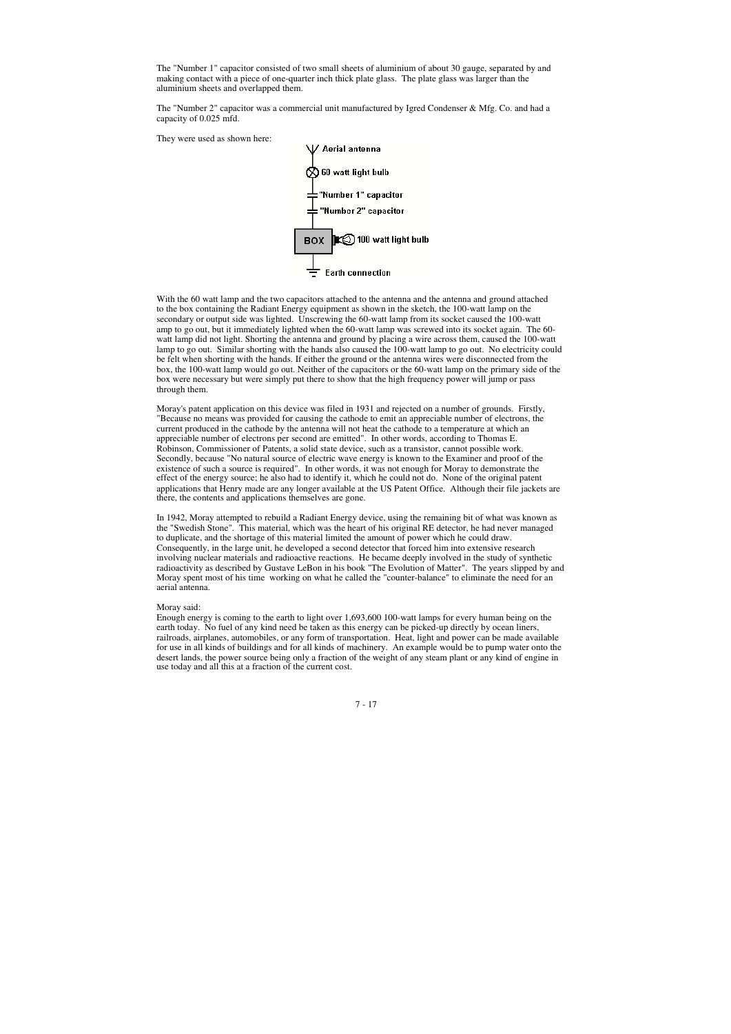The "Number 1" capacitor consisted of two small sheets of aluminium of about 30 gauge, separated by and making contact with a piece of one-quarter inch thick plate glass. The plate glass was larger than the aluminium sheets and overlapped them.

The "Number 2" capacitor was a commercial unit manufactured by Igred Condenser & Mfg. Co. and had a capacity of 0.025 mfd.

They were used as shown here:



With the 60 watt lamp and the two capacitors attached to the antenna and the antenna and ground attached to the box containing the Radiant Energy equipment as shown in the sketch, the 100-watt lamp on the secondary or output side was lighted. Unscrewing the 60-watt lamp from its socket caused the 100-watt amp to go out, but it immediately lighted when the 60-watt lamp was screwed into its socket again. The 60 watt lamp did not light. Shorting the antenna and ground by placing a wire across them, caused the 100-watt lamp to go out. Similar shorting with the hands also caused the 100-watt lamp to go out. No electricity could be felt when shorting with the hands. If either the ground or the antenna wires were disconnected from the box, the 100-watt lamp would go out. Neither of the capacitors or the 60-watt lamp on the primary side of the box were necessary but were simply put there to show that the high frequency power will jump or pass through them.

Moray's patent application on this device was filed in 1931 and rejected on a number of grounds. Firstly, "Because no means was provided for causing the cathode to emit an appreciable number of electrons, the current produced in the cathode by the antenna will not heat the cathode to a temperature at which an appreciable number of electrons per second are emitted". In other words, according to Thomas E. Robinson, Commissioner of Patents, a solid state device, such as a transistor, cannot possible work. Secondly, because "No natural source of electric wave energy is known to the Examiner and proof of the existence of such a source is required". In other words, it was not enough for Moray to demonstrate the effect of the energy source; he also had to identify it, which he could not do. None of the original patent applications that Henry made are any longer available at the US Patent Office. Although their file jackets are there, the contents and applications themselves are gone.

In 1942, Moray attempted to rebuild a Radiant Energy device, using the remaining bit of what was known as the "Swedish Stone". This material, which was the heart of his original RE detector, he had never managed to duplicate, and the shortage of this material limited the amount of power which he could draw. Consequently, in the large unit, he developed a second detector that forced him into extensive research involving nuclear materials and radioactive reactions. He became deeply involved in the study of synthetic radioactivity as described by Gustave LeBon in his book "The Evolution of Matter". The years slipped by and Moray spent most of his time working on what he called the "counter-balance" to eliminate the need for an aerial antenna.

## Moray said:

Enough energy is coming to the earth to light over 1,693,600 100-watt lamps for every human being on the earth today. No fuel of any kind need be taken as this energy can be picked-up directly by ocean liners, railroads, airplanes, automobiles, or any form of transportation. Heat, light and power can be made available for use in all kinds of buildings and for all kinds of machinery. An example would be to pump water onto the desert lands, the power source being only a fraction of the weight of any steam plant or any kind of engine in use today and all this at a fraction of the current cost.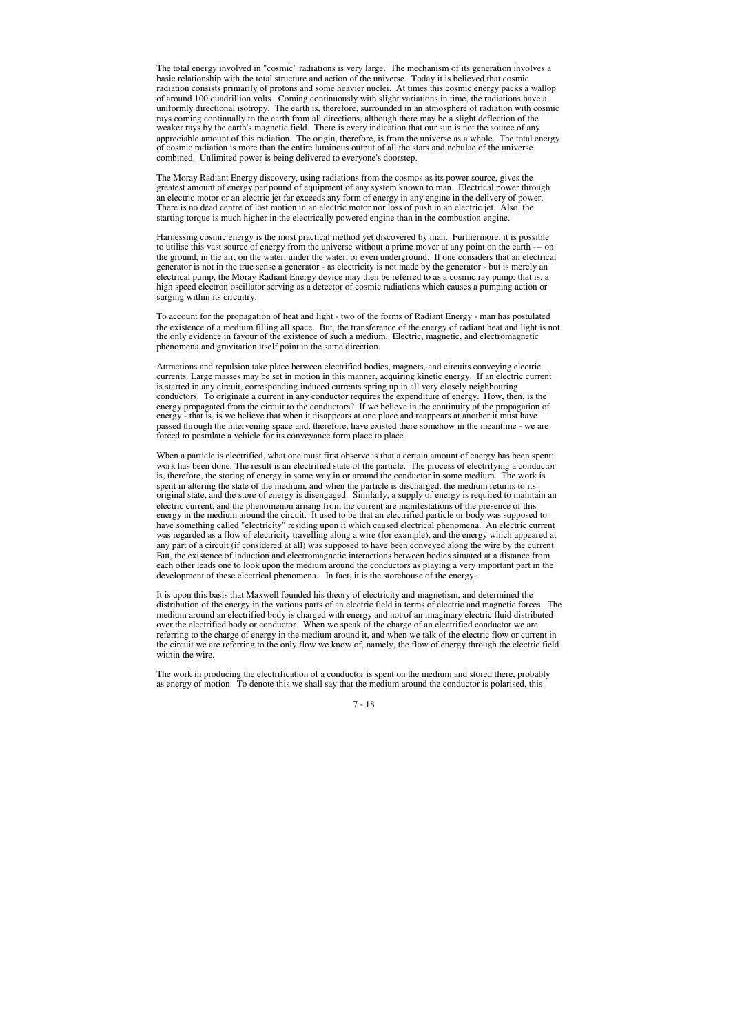The total energy involved in "cosmic" radiations is very large. The mechanism of its generation involves a basic relationship with the total structure and action of the universe. Today it is believed that cosmic radiation consists primarily of protons and some heavier nuclei. At times this cosmic energy packs a wallop of around 100 quadrillion volts. Coming continuously with slight variations in time, the radiations have a uniformly directional isotropy. The earth is, therefore, surrounded in an atmosphere of radiation with cosmic rays coming continually to the earth from all directions, although there may be a slight deflection of the weaker rays by the earth's magnetic field. There is every indication that our sun is not the source of any appreciable amount of this radiation. The origin, therefore, is from the universe as a whole. The total energy of cosmic radiation is more than the entire luminous output of all the stars and nebulae of the universe combined. Unlimited power is being delivered to everyone's doorstep.

The Moray Radiant Energy discovery, using radiations from the cosmos as its power source, gives the greatest amount of energy per pound of equipment of any system known to man. Electrical power through an electric motor or an electric jet far exceeds any form of energy in any engine in the delivery of power. There is no dead centre of lost motion in an electric motor nor loss of push in an electric jet. Also, the starting torque is much higher in the electrically powered engine than in the combustion engine.

Harnessing cosmic energy is the most practical method yet discovered by man. Furthermore, it is possible to utilise this vast source of energy from the universe without a prime mover at any point on the earth --- on the ground, in the air, on the water, under the water, or even underground. If one considers that an electrical generator is not in the true sense a generator - as electricity is not made by the generator - but is merely an electrical pump, the Moray Radiant Energy device may then be referred to as a cosmic ray pump: that is, a high speed electron oscillator serving as a detector of cosmic radiations which causes a pumping action or surging within its circuitry.

When a particle is electrified, what one must first observe is that a certain amount of energy has been spent; work has been done. The result is an electrified state of the particle. The process of electrifying a conductor is, therefore, the storing of energy in some way in or around the conductor in some medium. The work is spent in altering the state of the medium, and when the particle is discharged, the medium returns to its original state, and the store of energy is disengaged. Similarly, a supply of energy is required to maintain an electric current, and the phenomenon arising from the current are manifestations of the presence of this energy in the medium around the circuit. It used to be that an electrified particle or body was supposed to have something called "electricity" residing upon it which caused electrical phenomena. An electric current was regarded as a flow of electricity travelling along a wire (for example), and the energy which appeared at any part of a circuit (if considered at all) was supposed to have been conveyed along the wire by the current. But, the existence of induction and electromagnetic interactions between bodies situated at a distance from each other leads one to look upon the medium around the conductors as playing a very important part in the development of these electrical phenomena. In fact, it is the storehouse of the energy.

To account for the propagation of heat and light - two of the forms of Radiant Energy - man has postulated the existence of a medium filling all space. But, the transference of the energy of radiant heat and light is not the only evidence in favour of the existence of such a medium. Electric, magnetic, and electromagnetic phenomena and gravitation itself point in the same direction.

Attractions and repulsion take place between electrified bodies, magnets, and circuits conveying electric currents. Large masses may be set in motion in this manner, acquiring kinetic energy. If an electric current is started in any circuit, corresponding induced currents spring up in all very closely neighbouring conductors. To originate a current in any conductor requires the expenditure of energy. How, then, is the energy propagated from the circuit to the conductors? If we believe in the continuity of the propagation of energy - that is, is we believe that when it disappears at one place and reappears at another it must have passed through the intervening space and, therefore, have existed there somehow in the meantime - we are forced to postulate a vehicle for its conveyance form place to place.

It is upon this basis that Maxwell founded his theory of electricity and magnetism, and determined the distribution of the energy in the various parts of an electric field in terms of electric and magnetic forces. The medium around an electrified body is charged with energy and not of an imaginary electric fluid distributed over the electrified body or conductor. When we speak of the charge of an electrified conductor we are referring to the charge of energy in the medium around it, and when we talk of the electric flow or current in the circuit we are referring to the only flow we know of, namely, the flow of energy through the electric field within the wire.

The work in producing the electrification of a conductor is spent on the medium and stored there, probably as energy of motion. To denote this we shall say that the medium around the conductor is polarised, this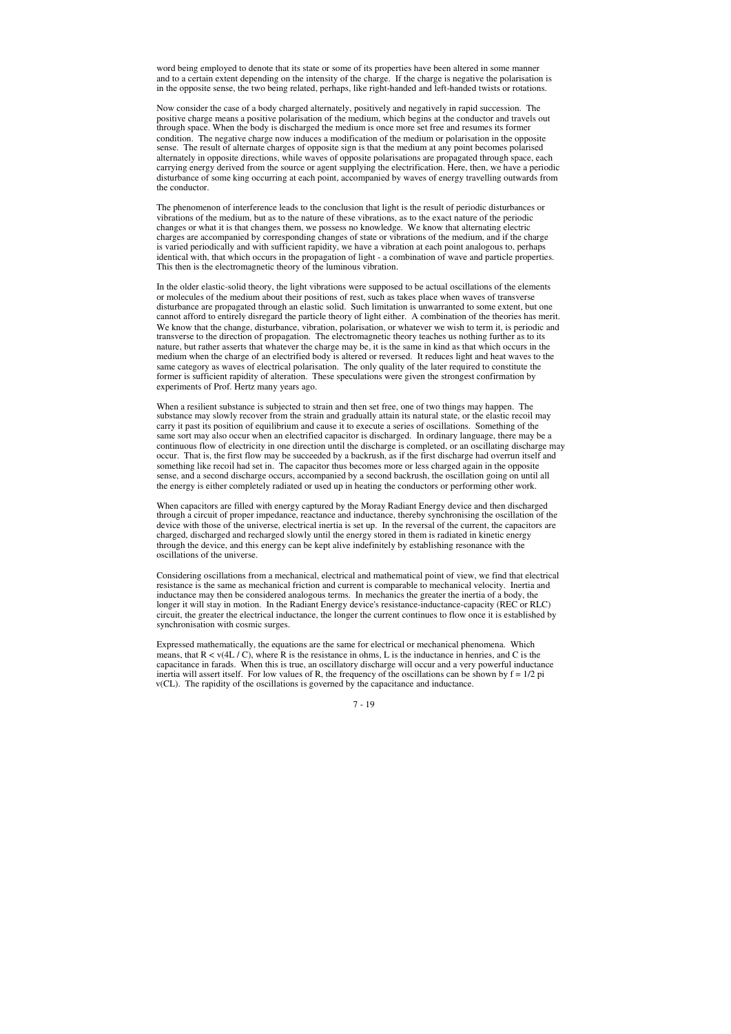word being employed to denote that its state or some of its properties have been altered in some manner and to a certain extent depending on the intensity of the charge. If the charge is negative the polarisation is in the opposite sense, the two being related, perhaps, like right-handed and left-handed twists or rotations.

Now consider the case of a body charged alternately, positively and negatively in rapid succession. The positive charge means a positive polarisation of the medium, which begins at the conductor and travels out through space. When the body is discharged the medium is once more set free and resumes its former condition. The negative charge now induces a modification of the medium or polarisation in the opposite sense. The result of alternate charges of opposite sign is that the medium at any point becomes polarised alternately in opposite directions, while waves of opposite polarisations are propagated through space, each carrying energy derived from the source or agent supplying the electrification. Here, then, we have a periodic disturbance of some king occurring at each point, accompanied by waves of energy travelling outwards from the conductor.

The phenomenon of interference leads to the conclusion that light is the result of periodic disturbances or vibrations of the medium, but as to the nature of these vibrations, as to the exact nature of the periodic changes or what it is that changes them, we possess no knowledge. We know that alternating electric charges are accompanied by corresponding changes of state or vibrations of the medium, and if the charge is varied periodically and with sufficient rapidity, we have a vibration at each point analogous to, perhaps identical with, that which occurs in the propagation of light - a combination of wave and particle properties. This then is the electromagnetic theory of the luminous vibration.

When a resilient substance is subjected to strain and then set free, one of two things may happen. The substance may slowly recover from the strain and gradually attain its natural state, or the elastic recoil may carry it past its position of equilibrium and cause it to execute a series of oscillations. Something of the same sort may also occur when an electrified capacitor is discharged. In ordinary language, there may be a continuous flow of electricity in one direction until the discharge is completed, or an oscillating discharge may occur. That is, the first flow may be succeeded by a backrush, as if the first discharge had overrun itself and something like recoil had set in. The capacitor thus becomes more or less charged again in the opposite sense, and a second discharge occurs, accompanied by a second backrush, the oscillation going on until all the energy is either completely radiated or used up in heating the conductors or performing other work.

In the older elastic-solid theory, the light vibrations were supposed to be actual oscillations of the elements or molecules of the medium about their positions of rest, such as takes place when waves of transverse disturbance are propagated through an elastic solid. Such limitation is unwarranted to some extent, but one cannot afford to entirely disregard the particle theory of light either. A combination of the theories has merit. We know that the change, disturbance, vibration, polarisation, or whatever we wish to term it, is periodic and transverse to the direction of propagation. The electromagnetic theory teaches us nothing further as to its nature, but rather asserts that whatever the charge may be, it is the same in kind as that which occurs in the medium when the charge of an electrified body is altered or reversed. It reduces light and heat waves to the same category as waves of electrical polarisation. The only quality of the later required to constitute the former is sufficient rapidity of alteration. These speculations were given the strongest confirmation by experiments of Prof. Hertz many years ago.

When capacitors are filled with energy captured by the Moray Radiant Energy device and then discharged through a circuit of proper impedance, reactance and inductance, thereby synchronising the oscillation of the device with those of the universe, electrical inertia is set up. In the reversal of the current, the capacitors are charged, discharged and recharged slowly until the energy stored in them is radiated in kinetic energy through the device, and this energy can be kept alive indefinitely by establishing resonance with the oscillations of the universe.

Considering oscillations from a mechanical, electrical and mathematical point of view, we find that electrical resistance is the same as mechanical friction and current is comparable to mechanical velocity. Inertia and inductance may then be considered analogous terms. In mechanics the greater the inertia of a body, the longer it will stay in motion. In the Radiant Energy device's resistance-inductance-capacity (REC or RLC) circuit, the greater the electrical inductance, the longer the current continues to flow once it is established by synchronisation with cosmic surges.

Expressed mathematically, the equations are the same for electrical or mechanical phenomena. Which means, that  $R < v(4L / C)$ , where R is the resistance in ohms, L is the inductance in henries, and C is the capacitance in farads. When this is true, an oscillatory discharge will occur and a very powerful inductance inertia will assert itself. For low values of R, the frequency of the oscillations can be shown by  $f = 1/2$  pi v(CL). The rapidity of the oscillations is governed by the capacitance and inductance.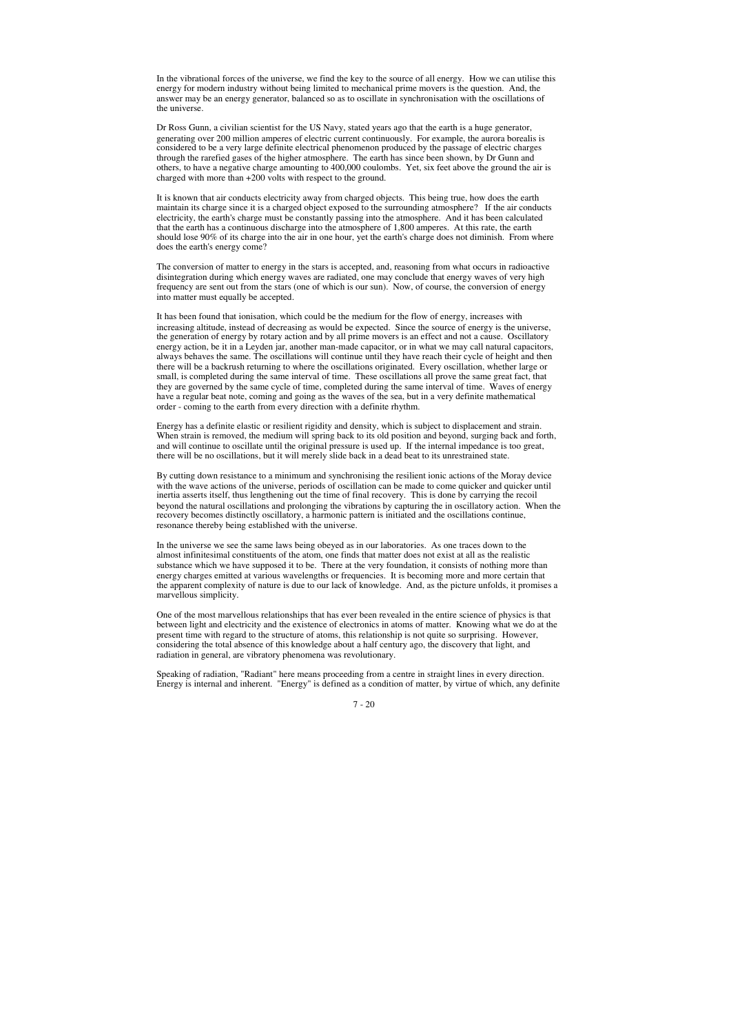In the vibrational forces of the universe, we find the key to the source of all energy. How we can utilise this energy for modern industry without being limited to mechanical prime movers is the question. And, the answer may be an energy generator, balanced so as to oscillate in synchronisation with the oscillations of the universe.

Dr Ross Gunn, a civilian scientist for the US Navy, stated years ago that the earth is a huge generator, generating over 200 million amperes of electric current continuously. For example, the aurora borealis is considered to be a very large definite electrical phenomenon produced by the passage of electric charges through the rarefied gases of the higher atmosphere. The earth has since been shown, by Dr Gunn and others, to have a negative charge amounting to 400,000 coulombs. Yet, six feet above the ground the air is charged with more than +200 volts with respect to the ground.

It is known that air conducts electricity away from charged objects. This being true, how does the earth maintain its charge since it is a charged object exposed to the surrounding atmosphere? If the air conducts electricity, the earth's charge must be constantly passing into the atmosphere. And it has been calculated that the earth has a continuous discharge into the atmosphere of 1,800 amperes. At this rate, the earth should lose 90% of its charge into the air in one hour, yet the earth's charge does not diminish. From where does the earth's energy come?

The conversion of matter to energy in the stars is accepted, and, reasoning from what occurs in radioactive disintegration during which energy waves are radiated, one may conclude that energy waves of very high frequency are sent out from the stars (one of which is our sun). Now, of course, the conversion of energy into matter must equally be accepted.

It has been found that ionisation, which could be the medium for the flow of energy, increases with increasing altitude, instead of decreasing as would be expected. Since the source of energy is the universe, the generation of energy by rotary action and by all prime movers is an effect and not a cause. Oscillatory energy action, be it in a Leyden jar, another man-made capacitor, or in what we may call natural capacitors, always behaves the same. The oscillations will continue until they have reach their cycle of height and then there will be a backrush returning to where the oscillations originated. Every oscillation, whether large or small, is completed during the same interval of time. These oscillations all prove the same great fact, that they are governed by the same cycle of time, completed during the same interval of time. Waves of energy have a regular beat note, coming and going as the waves of the sea, but in a very definite mathematical order - coming to the earth from every direction with a definite rhythm.

Energy has a definite elastic or resilient rigidity and density, which is subject to displacement and strain. When strain is removed, the medium will spring back to its old position and beyond, surging back and forth, and will continue to oscillate until the original pressure is used up. If the internal impedance is too great, there will be no oscillations, but it will merely slide back in a dead beat to its unrestrained state.

By cutting down resistance to a minimum and synchronising the resilient ionic actions of the Moray device with the wave actions of the universe, periods of oscillation can be made to come quicker and quicker until inertia asserts itself, thus lengthening out the time of final recovery. This is done by carrying the recoil beyond the natural oscillations and prolonging the vibrations by capturing the in oscillatory action. When the recovery becomes distinctly oscillatory, a harmonic pattern is initiated and the oscillations continue, resonance thereby being established with the universe.

In the universe we see the same laws being obeyed as in our laboratories. As one traces down to the almost infinitesimal constituents of the atom, one finds that matter does not exist at all as the realistic substance which we have supposed it to be. There at the very foundation, it consists of nothing more than energy charges emitted at various wavelengths or frequencies. It is becoming more and more certain that the apparent complexity of nature is due to our lack of knowledge. And, as the picture unfolds, it promises a marvellous simplicity.

One of the most marvellous relationships that has ever been revealed in the entire science of physics is that between light and electricity and the existence of electronics in atoms of matter. Knowing what we do at the present time with regard to the structure of atoms, this relationship is not quite so surprising. However, considering the total absence of this knowledge about a half century ago, the discovery that light, and radiation in general, are vibratory phenomena was revolutionary.

Speaking of radiation, "Radiant" here means proceeding from a centre in straight lines in every direction. Energy is internal and inherent. "Energy" is defined as a condition of matter, by virtue of which, any definite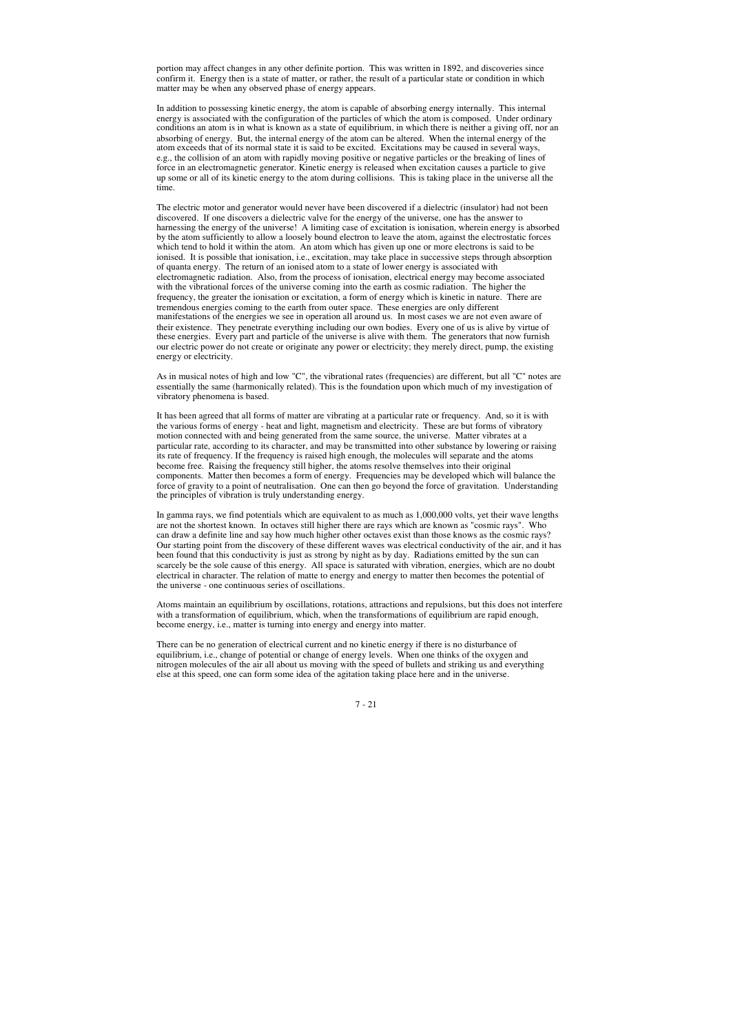portion may affect changes in any other definite portion. This was written in 1892, and discoveries since confirm it. Energy then is a state of matter, or rather, the result of a particular state or condition in which matter may be when any observed phase of energy appears.

In addition to possessing kinetic energy, the atom is capable of absorbing energy internally. This internal energy is associated with the configuration of the particles of which the atom is composed. Under ordinary conditions an atom is in what is known as a state of equilibrium, in which there is neither a giving off, nor an absorbing of energy. But, the internal energy of the atom can be altered. When the internal energy of the atom exceeds that of its normal state it is said to be excited. Excitations may be caused in several ways, e.g., the collision of an atom with rapidly moving positive or negative particles or the breaking of lines of force in an electromagnetic generator. Kinetic energy is released when excitation causes a particle to give up some or all of its kinetic energy to the atom during collisions. This is taking place in the universe all the time.

The electric motor and generator would never have been discovered if a dielectric (insulator) had not been discovered. If one discovers a dielectric valve for the energy of the universe, one has the answer to harnessing the energy of the universe! A limiting case of excitation is ionisation, wherein energy is absorbed by the atom sufficiently to allow a loosely bound electron to leave the atom, against the electrostatic forces which tend to hold it within the atom. An atom which has given up one or more electrons is said to be ionised. It is possible that ionisation, i.e., excitation, may take place in successive steps through absorption of quanta energy. The return of an ionised atom to a state of lower energy is associated with electromagnetic radiation. Also, from the process of ionisation, electrical energy may become associated with the vibrational forces of the universe coming into the earth as cosmic radiation. The higher the frequency, the greater the ionisation or excitation, a form of energy which is kinetic in nature. There are tremendous energies coming to the earth from outer space. These energies are only different manifestations of the energies we see in operation all around us. In most cases we are not even aware of their existence. They penetrate everything including our own bodies. Every one of us is alive by virtue of these energies. Every part and particle of the universe is alive with them. The generators that now furnish our electric power do not create or originate any power or electricity; they merely direct, pump, the existing energy or electricity.

As in musical notes of high and low "C", the vibrational rates (frequencies) are different, but all "C" notes are essentially the same (harmonically related). This is the foundation upon which much of my investigation of vibratory phenomena is based.

It has been agreed that all forms of matter are vibrating at a particular rate or frequency. And, so it is with the various forms of energy - heat and light, magnetism and electricity. These are but forms of vibratory motion connected with and being generated from the same source, the universe. Matter vibrates at a particular rate, according to its character, and may be transmitted into other substance by lowering or raising its rate of frequency. If the frequency is raised high enough, the molecules will separate and the atoms become free. Raising the frequency still higher, the atoms resolve themselves into their original components. Matter then becomes a form of energy. Frequencies may be developed which will balance the force of gravity to a point of neutralisation. One can then go beyond the force of gravitation. Understanding the principles of vibration is truly understanding energy.

In gamma rays, we find potentials which are equivalent to as much as 1,000,000 volts, yet their wave lengths are not the shortest known. In octaves still higher there are rays which are known as "cosmic rays". Who can draw a definite line and say how much higher other octaves exist than those knows as the cosmic rays? Our starting point from the discovery of these different waves was electrical conductivity of the air, and it has been found that this conductivity is just as strong by night as by day. Radiations emitted by the sun can scarcely be the sole cause of this energy. All space is saturated with vibration, energies, which are no doubt electrical in character. The relation of matte to energy and energy to matter then becomes the potential of the universe - one continuous series of oscillations.

Atoms maintain an equilibrium by oscillations, rotations, attractions and repulsions, but this does not interfere with a transformation of equilibrium, which, when the transformations of equilibrium are rapid enough, become energy, i.e., matter is turning into energy and energy into matter.

There can be no generation of electrical current and no kinetic energy if there is no disturbance of equilibrium, i.e., change of potential or change of energy levels. When one thinks of the oxygen and nitrogen molecules of the air all about us moving with the speed of bullets and striking us and everything else at this speed, one can form some idea of the agitation taking place here and in the universe.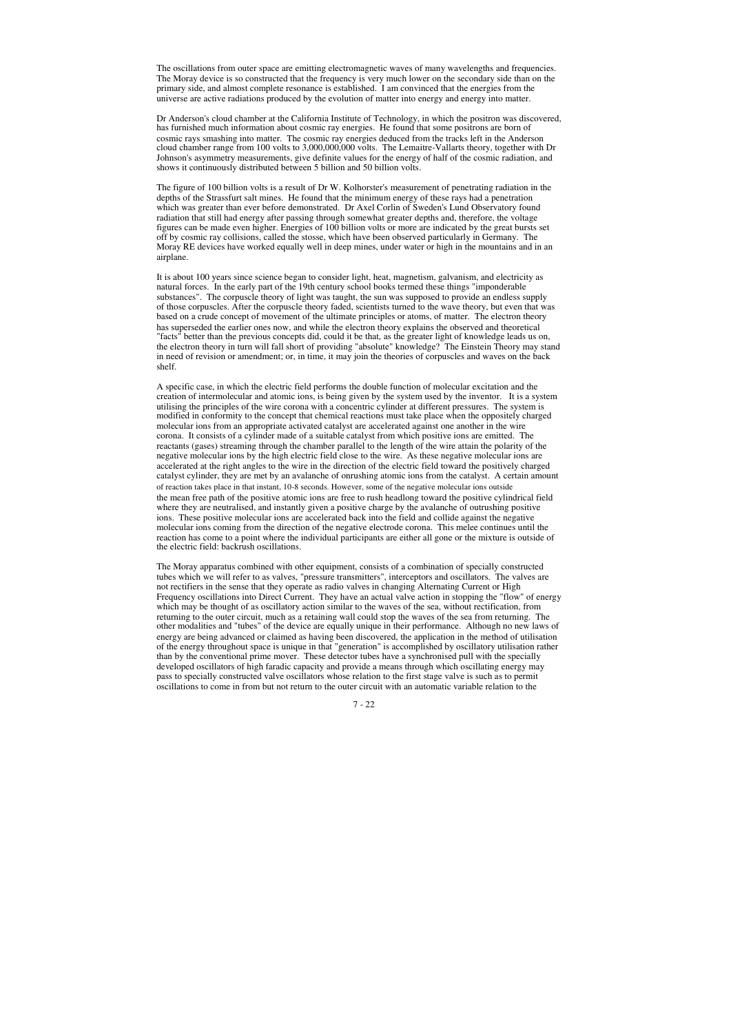The oscillations from outer space are emitting electromagnetic waves of many wavelengths and frequencies. The Moray device is so constructed that the frequency is very much lower on the secondary side than on the primary side, and almost complete resonance is established. I am convinced that the energies from the universe are active radiations produced by the evolution of matter into energy and energy into matter.

Dr Anderson's cloud chamber at the California Institute of Technology, in which the positron was discovered, has furnished much information about cosmic ray energies. He found that some positrons are born of cosmic rays smashing into matter. The cosmic ray energies deduced from the tracks left in the Anderson cloud chamber range from 100 volts to 3,000,000,000 volts. The Lemaitre-Vallarts theory, together with Dr Johnson's asymmetry measurements, give definite values for the energy of half of the cosmic radiation, and shows it continuously distributed between 5 billion and 50 billion volts.

The figure of 100 billion volts is a result of Dr W. Kolhorster's measurement of penetrating radiation in the depths of the Strassfurt salt mines. He found that the minimum energy of these rays had a penetration which was greater than ever before demonstrated. Dr Axel Corlin of Sweden's Lund Observatory found radiation that still had energy after passing through somewhat greater depths and, therefore, the voltage figures can be made even higher. Energies of 100 billion volts or more are indicated by the great bursts set off by cosmic ray collisions, called the stosse, which have been observed particularly in Germany. The Moray RE devices have worked equally well in deep mines, under water or high in the mountains and in an airplane.

It is about 100 years since science began to consider light, heat, magnetism, galvanism, and electricity as natural forces. In the early part of the 19th century school books termed these things "imponderable substances". The corpuscle theory of light was taught, the sun was supposed to provide an endless supply of those corpuscles. After the corpuscle theory faded, scientists turned to the wave theory, but even that was based on a crude concept of movement of the ultimate principles or atoms, of matter. The electron theory has superseded the earlier ones now, and while the electron theory explains the observed and theoretical "facts" better than the previous concepts did, could it be that, as the greater light of knowledge leads us on, the electron theory in turn will fall short of providing "absolute" knowledge? The Einstein Theory may stand in need of revision or amendment; or, in time, it may join the theories of corpuscles and waves on the back shelf.

A specific case, in which the electric field performs the double function of molecular excitation and the creation of intermolecular and atomic ions, is being given by the system used by the inventor. It is a system utilising the principles of the wire corona with a concentric cylinder at different pressures. The system is modified in conformity to the concept that chemical reactions must take place when the oppositely charged molecular ions from an appropriate activated catalyst are accelerated against one another in the wire corona. It consists of a cylinder made of a suitable catalyst from which positive ions are emitted. The reactants (gases) streaming through the chamber parallel to the length of the wire attain the polarity of the negative molecular ions by the high electric field close to the wire. As these negative molecular ions are accelerated at the right angles to the wire in the direction of the electric field toward the positively charged catalyst cylinder, they are met by an avalanche of onrushing atomic ions from the catalyst. A certain amount of reaction takes place in that instant, 10-8 seconds. However, some of the negative molecular ions outside the mean free path of the positive atomic ions are free to rush headlong toward the positive cylindrical field where they are neutralised, and instantly given a positive charge by the avalanche of outrushing positive ions. These positive molecular ions are accelerated back into the field and collide against the negative molecular ions coming from the direction of the negative electrode corona. This melee continues until the reaction has come to a point where the individual participants are either all gone or the mixture is outside of the electric field: backrush oscillations.

The Moray apparatus combined with other equipment, consists of a combination of specially constructed tubes which we will refer to as valves, "pressure transmitters", interceptors and oscillators. The valves are not rectifiers in the sense that they operate as radio valves in changing Alternating Current or High Frequency oscillations into Direct Current. They have an actual valve action in stopping the "flow" of energy which may be thought of as oscillatory action similar to the waves of the sea, without rectification, from returning to the outer circuit, much as a retaining wall could stop the waves of the sea from returning. The other modalities and "tubes" of the device are equally unique in their performance. Although no new laws of energy are being advanced or claimed as having been discovered, the application in the method of utilisation of the energy throughout space is unique in that "generation" is accomplished by oscillatory utilisation rather than by the conventional prime mover. These detector tubes have a synchronised pull with the specially developed oscillators of high faradic capacity and provide a means through which oscillating energy may pass to specially constructed valve oscillators whose relation to the first stage valve is such as to permit oscillations to come in from but not return to the outer circuit with an automatic variable relation to the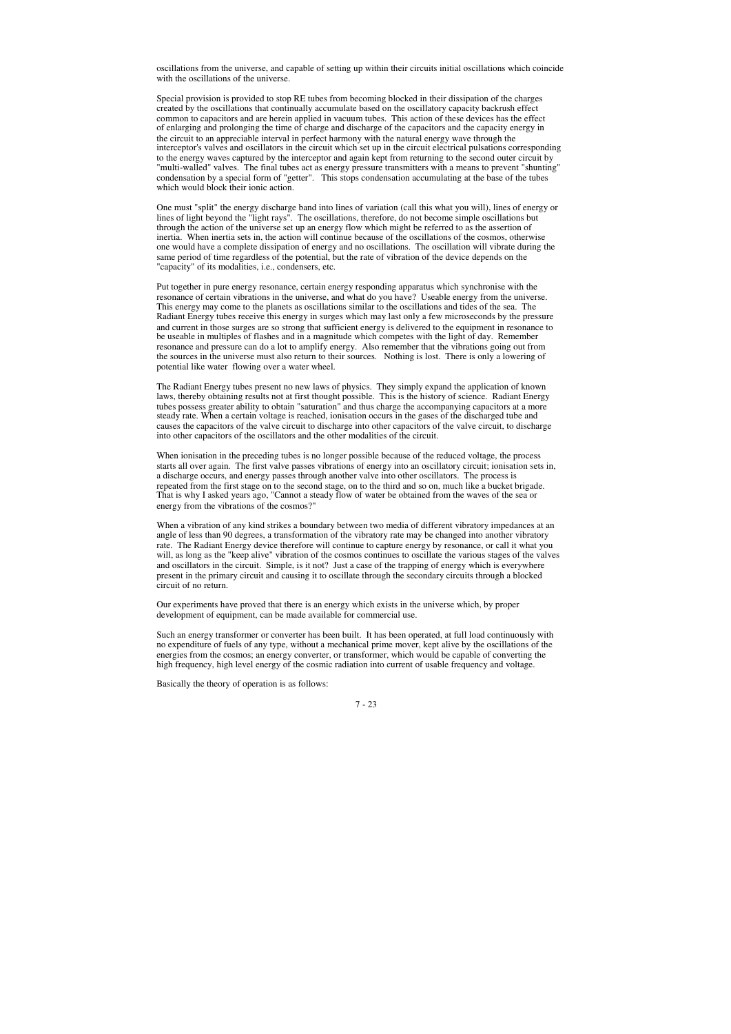oscillations from the universe, and capable of setting up within their circuits initial oscillations which coincide with the oscillations of the universe.

Special provision is provided to stop RE tubes from becoming blocked in their dissipation of the charges created by the oscillations that continually accumulate based on the oscillatory capacity backrush effect common to capacitors and are herein applied in vacuum tubes. This action of these devices has the effect of enlarging and prolonging the time of charge and discharge of the capacitors and the capacity energy in the circuit to an appreciable interval in perfect harmony with the natural energy wave through the interceptor's valves and oscillators in the circuit which set up in the circuit electrical pulsations corresponding to the energy waves captured by the interceptor and again kept from returning to the second outer circuit by "multi-walled" valves. The final tubes act as energy pressure transmitters with a means to prevent "shunting" condensation by a special form of "getter". This stops condensation accumulating at the base of the tubes which would block their ionic action.

One must "split" the energy discharge band into lines of variation (call this what you will), lines of energy or lines of light beyond the "light rays". The oscillations, therefore, do not become simple oscillations but through the action of the universe set up an energy flow which might be referred to as the assertion of inertia. When inertia sets in, the action will continue because of the oscillations of the cosmos, otherwise one would have a complete dissipation of energy and no oscillations. The oscillation will vibrate during the same period of time regardless of the potential, but the rate of vibration of the device depends on the "capacity" of its modalities, i.e., condensers, etc.

Put together in pure energy resonance, certain energy responding apparatus which synchronise with the resonance of certain vibrations in the universe, and what do you have? Useable energy from the universe. This energy may come to the planets as oscillations similar to the oscillations and tides of the sea. The Radiant Energy tubes receive this energy in surges which may last only a few microseconds by the pressure and current in those surges are so strong that sufficient energy is delivered to the equipment in resonance to be useable in multiples of flashes and in a magnitude which competes with the light of day. Remember resonance and pressure can do a lot to amplify energy. Also remember that the vibrations going out from the sources in the universe must also return to their sources. Nothing is lost. There is only a lowering of potential like water flowing over a water wheel.

The Radiant Energy tubes present no new laws of physics. They simply expand the application of known laws, thereby obtaining results not at first thought possible. This is the history of science. Radiant Energy tubes possess greater ability to obtain "saturation" and thus charge the accompanying capacitors at a more steady rate. When a certain voltage is reached, ionisation occurs in the gases of the discharged tube and causes the capacitors of the valve circuit to discharge into other capacitors of the valve circuit, to discharge into other capacitors of the oscillators and the other modalities of the circuit.

When ionisation in the preceding tubes is no longer possible because of the reduced voltage, the process starts all over again. The first valve passes vibrations of energy into an oscillatory circuit; ionisation sets in, a discharge occurs, and energy passes through another valve into other oscillators. The process is repeated from the first stage on to the second stage, on to the third and so on, much like a bucket brigade. That is why I asked years ago, "Cannot a steady flow of water be obtained from the waves of the sea or energy from the vibrations of the cosmos?"

When a vibration of any kind strikes a boundary between two media of different vibratory impedances at an angle of less than 90 degrees, a transformation of the vibratory rate may be changed into another vibratory rate. The Radiant Energy device therefore will continue to capture energy by resonance, or call it what you will, as long as the "keep alive" vibration of the cosmos continues to oscillate the various stages of the valves and oscillators in the circuit. Simple, is it not? Just a case of the trapping of energy which is everywhere present in the primary circuit and causing it to oscillate through the secondary circuits through a blocked circuit of no return.

Our experiments have proved that there is an energy which exists in the universe which, by proper development of equipment, can be made available for commercial use.

Such an energy transformer or converter has been built. It has been operated, at full load continuously with no expenditure of fuels of any type, without a mechanical prime mover, kept alive by the oscillations of the energies from the cosmos; an energy converter, or transformer, which would be capable of converting the high frequency, high level energy of the cosmic radiation into current of usable frequency and voltage.

Basically the theory of operation is as follows: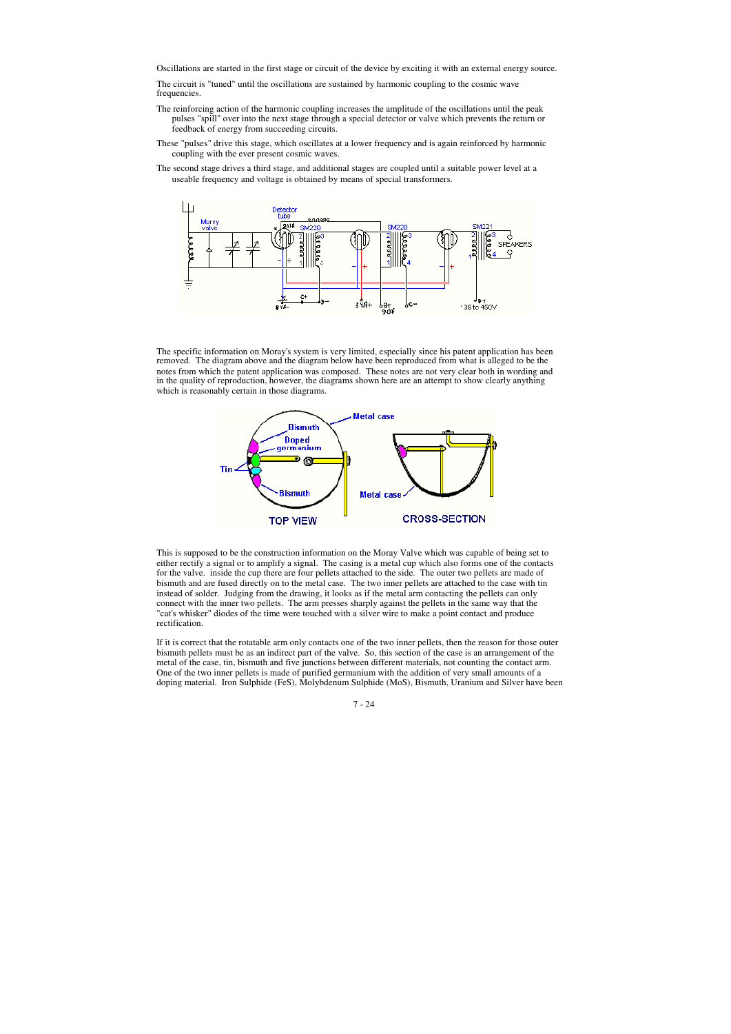Oscillations are started in the first stage or circuit of the device by exciting it with an external energy source.

The circuit is "tuned" until the oscillations are sustained by harmonic coupling to the cosmic wave frequencies.

The specific information on Moray's system is very limited, especially since his patent application has been removed. The diagram above and the diagram below have been reproduced from what is alleged to be the notes from which the patent application was composed. These notes are not very clear both in wording and in the quality of reproduction, however, the diagrams shown here are an attempt to show clearly anything which is reasonably certain in those diagrams.



- The reinforcing action of the harmonic coupling increases the amplitude of the oscillations until the peak pulses "spill" over into the next stage through a special detector or valve which prevents the return or feedback of energy from succeeding circuits.
- These "pulses" drive this stage, which oscillates at a lower frequency and is again reinforced by harmonic coupling with the ever present cosmic waves.
- The second stage drives a third stage, and additional stages are coupled until a suitable power level at a useable frequency and voltage is obtained by means of special transformers.



This is supposed to be the construction information on the Moray Valve which was capable of being set to either rectify a signal or to amplify a signal. The casing is a metal cup which also forms one of the contacts for the valve. inside the cup there are four pellets attached to the side. The outer two pellets are made of bismuth and are fused directly on to the metal case. The two inner pellets are attached to the case with tin instead of solder. Judging from the drawing, it looks as if the metal arm contacting the pellets can only connect with the inner two pellets. The arm presses sharply against the pellets in the same way that the "cat's whisker" diodes of the time were touched with a silver wire to make a point contact and produce rectification.

If it is correct that the rotatable arm only contacts one of the two inner pellets, then the reason for those outer bismuth pellets must be as an indirect part of the valve. So, this section of the case is an arrangement of the metal of the case, tin, bismuth and five junctions between different materials, not counting the contact arm. One of the two inner pellets is made of purified germanium with the addition of very small amounts of a doping material. Iron Sulphide (FeS), Molybdenum Sulphide (MoS), Bismuth, Uranium and Silver have been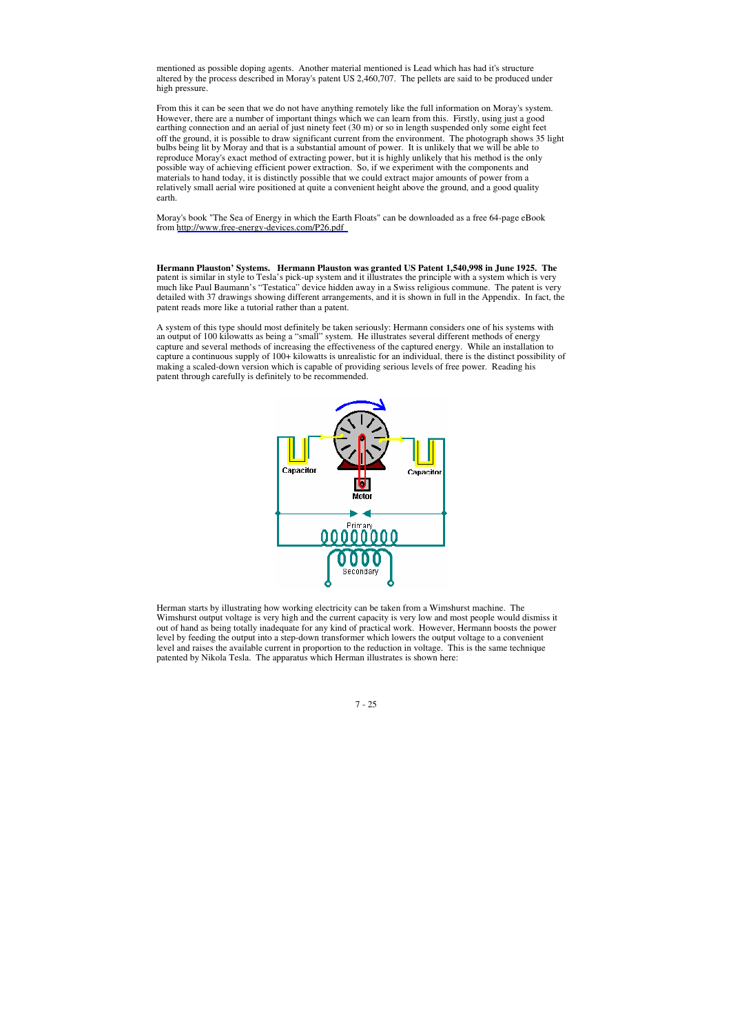mentioned as possible doping agents. Another material mentioned is Lead which has had it's structure altered by the process described in Moray's patent US 2,460,707. The pellets are said to be produced under high pressure.

From this it can be seen that we do not have anything remotely like the full information on Moray's system. However, there are a number of important things which we can learn from this. Firstly, using just a good earthing connection and an aerial of just ninety feet (30 m) or so in length suspended only some eight feet off the ground, it is possible to draw significant current from the environment. The photograph shows 35 light bulbs being lit by Moray and that is a substantial amount of power. It is unlikely that we will be able to reproduce Moray's exact method of extracting power, but it is highly unlikely that his method is the only possible way of achieving efficient power extraction. So, if we experiment with the components and materials to hand today, it is distinctly possible that we could extract major amounts of power from a relatively small aerial wire positioned at quite a convenient height above the ground, and a good quality earth.



Herman starts by illustrating how working electricity can be taken from a Wimshurst machine. The Wimshurst output voltage is very high and the current capacity is very low and most people would dismiss it out of hand as being totally inadequate for any kind of practical work. However, Hermann boosts the power level by feeding the output into a step-down transformer which lowers the output voltage to a convenient level and raises the available current in proportion to the reduction in voltage. This is the same technique patented by Nikola Tesla. The apparatus which Herman illustrates is shown here: Ï

Moray's book "The Sea of Energy in which the Earth Floats" can be downloaded as a free 64-page eBook from http://www.free-energy-devices.com/P26.pdf

**Hermann Plauston' Systems. Hermann Plauston was granted US Patent 1,540,998 in June 1925. The**  patent is similar in style to Tesla's pick-up system and it illustrates the principle with a system which is very much like Paul Baumann's "Testatica" device hidden away in a Swiss religious commune. The patent is very detailed with 37 drawings showing different arrangements, and it is shown in full in the Appendix. In fact, the patent reads more like a tutorial rather than a patent.

A system of this type should most definitely be taken seriously: Hermann considers one of his systems with an output of 100 kilowatts as being a "small" system. He illustrates several different methods of energy capture and several methods of increasing the effectiveness of the captured energy. While an installation to capture a continuous supply of 100+ kilowatts is unrealistic for an individual, there is the distinct possibility of making a scaled-down version which is capable of providing serious levels of free power. Reading his patent through carefully is definitely to be recommended.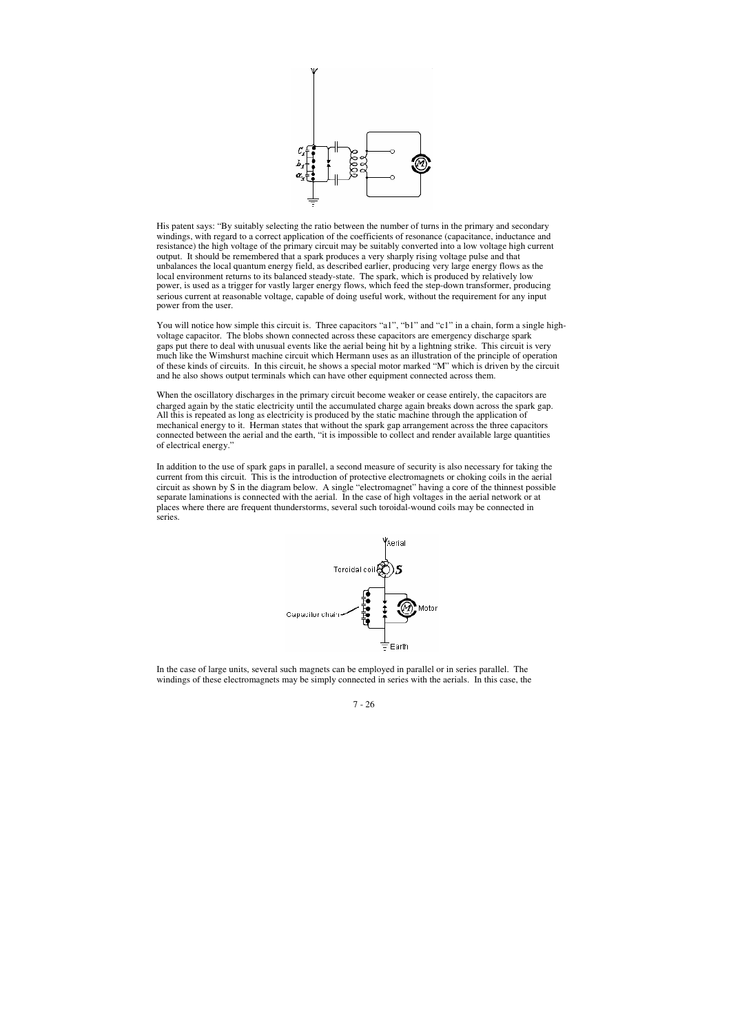

His patent says: "By suitably selecting the ratio between the number of turns in the primary and secondary windings, with regard to a correct application of the coefficients of resonance (capacitance, inductance and resistance) the high voltage of the primary circuit may be suitably converted into a low voltage high current output. It should be remembered that a spark produces a very sharply rising voltage pulse and that unbalances the local quantum energy field, as described earlier, producing very large energy flows as the local environment returns to its balanced steady-state. The spark, which is produced by relatively low power, is used as a trigger for vastly larger energy flows, which feed the step-down transformer, producing serious current at reasonable voltage, capable of doing useful work, without the requirement for any input power from the user.

You will notice how simple this circuit is. Three capacitors "a1", "b1" and "c1" in a chain, form a single highvoltage capacitor. The blobs shown connected across these capacitors are emergency discharge spark gaps put there to deal with unusual events like the aerial being hit by a lightning strike. This circuit is very much like the Wimshurst machine circuit which Hermann uses as an illustration of the principle of operation of these kinds of circuits. In this circuit, he shows a special motor marked "M" which is driven by the circuit and he also shows output terminals which can have other equipment connected across them.

When the oscillatory discharges in the primary circuit become weaker or cease entirely, the capacitors are charged again by the static electricity until the accumulated charge again breaks down across the spark gap. All this is repeated as long as electricity is produced by the static machine through the application of mechanical energy to it. Herman states that without the spark gap arrangement across the three capacitors connected between the aerial and the earth, "it is impossible to collect and render available large quantities of electrical energy."

In addition to the use of spark gaps in parallel, a second measure of security is also necessary for taking the current from this circuit. This is the introduction of protective electromagnets or choking coils in the aerial circuit as shown by S in the diagram below. A single "electromagnet" having a core of the thinnest possible separate laminations is connected with the aerial. In the case of high voltages in the aerial network or at places where there are frequent thunderstorms, several such toroidal-wound coils may be connected in series.



In the case of large units, several such magnets can be employed in parallel or in series parallel. The windings of these electromagnets may be simply connected in series with the aerials. In this case, the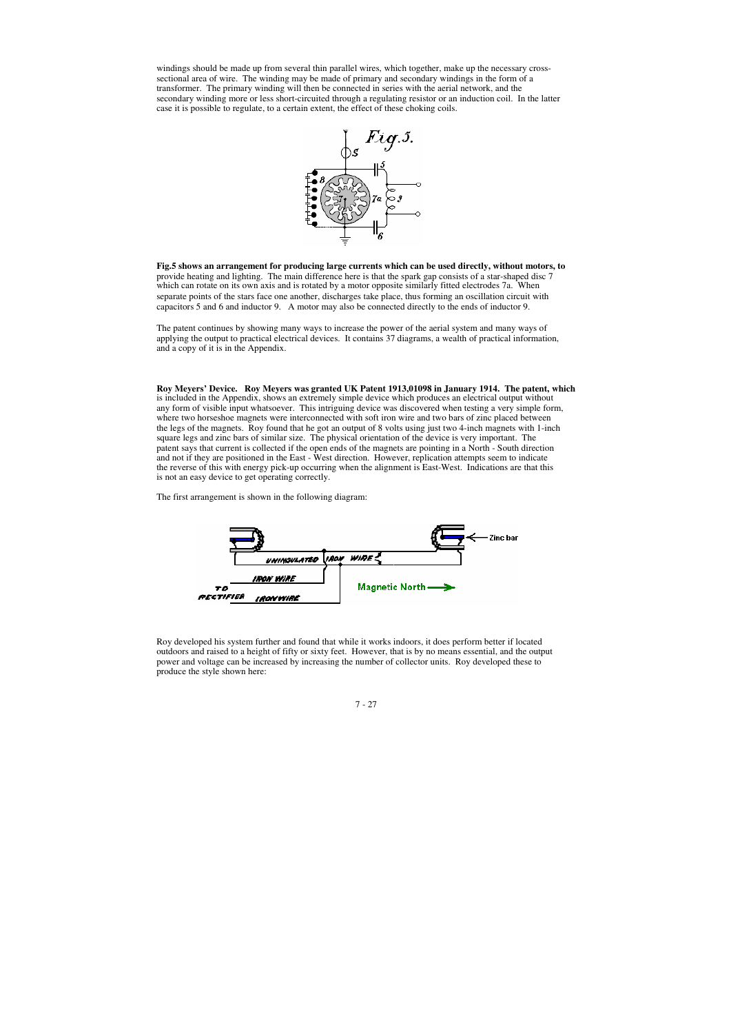windings should be made up from several thin parallel wires, which together, make up the necessary crosssectional area of wire. The winding may be made of primary and secondary windings in the form of a transformer. The primary winding will then be connected in series with the aerial network, and the secondary winding more or less short-circuited through a regulating resistor or an induction coil. In the latter case it is possible to regulate, to a certain extent, the effect of these choking coils.



**Fig.5 shows an arrangement for producing large currents which can be used directly, without motors, to**  provide heating and lighting. The main difference here is that the spark gap consists of a star-shaped disc 7 which can rotate on its own axis and is rotated by a motor opposite similarly fitted electrodes 7a. When separate points of the stars face one another, discharges take place, thus forming an oscillation circuit with capacitors 5 and 6 and inductor 9. A motor may also be connected directly to the ends of inductor 9.

The patent continues by showing many ways to increase the power of the aerial system and many ways of applying the output to practical electrical devices. It contains 37 diagrams, a wealth of practical information, and a copy of it is in the Appendix.

**Roy Meyers' Device. Roy Meyers was granted UK Patent 1913,01098 in January 1914. The patent, which**  is included in the Appendix, shows an extremely simple device which produces an electrical output without any form of visible input whatsoever. This intriguing device was discovered when testing a very simple form, where two horseshoe magnets were interconnected with soft iron wire and two bars of zinc placed between the legs of the magnets. Roy found that he got an output of 8 volts using just two 4-inch magnets with 1-inch square legs and zinc bars of similar size. The physical orientation of the device is very important. The patent says that current is collected if the open ends of the magnets are pointing in a North - South direction and not if they are positioned in the East - West direction. However, replication attempts seem to indicate the reverse of this with energy pick-up occurring when the alignment is East-West. Indications are that this is not an easy device to get operating correctly.

The first arrangement is shown in the following diagram:



Roy developed his system further and found that while it works indoors, it does perform better if located outdoors and raised to a height of fifty or sixty feet. However, that is by no means essential, and the output power and voltage can be increased by increasing the number of collector units. Roy developed these to produce the style shown here: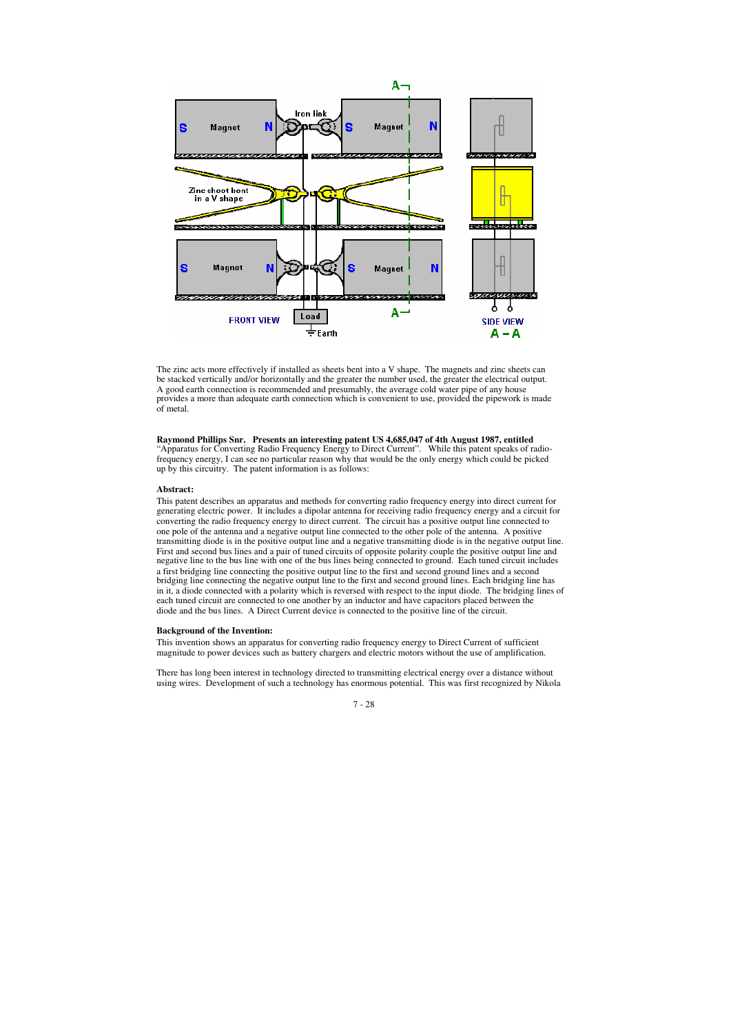

The zinc acts more effectively if installed as sheets bent into a V shape. The magnets and zinc sheets can be stacked vertically and/or horizontally and the greater the number used, the greater the electrical output. A good earth connection is recommended and presumably, the average cold water pipe of any house provides a more than adequate earth connection which is convenient to use, provided the pipework is made of metal.

**Raymond Phillips Snr. Presents an interesting patent US 4,685,047 of 4th August 1987, entitled**  "Apparatus for Converting Radio Frequency Energy to Direct Current". While this patent speaks of radiofrequency energy, I can see no particular reason why that would be the only energy which could be picked up by this circuitry. The patent information is as follows:

#### **Abstract:**

This patent describes an apparatus and methods for converting radio frequency energy into direct current for generating electric power. It includes a dipolar antenna for receiving radio frequency energy and a circuit for converting the radio frequency energy to direct current. The circuit has a positive output line connected to one pole of the antenna and a negative output line connected to the other pole of the antenna. A positive transmitting diode is in the positive output line and a negative transmitting diode is in the negative output line. First and second bus lines and a pair of tuned circuits of opposite polarity couple the positive output line and negative line to the bus line with one of the bus lines being connected to ground. Each tuned circuit includes a first bridging line connecting the positive output line to the first and second ground lines and a second bridging line connecting the negative output line to the first and second ground lines. Each bridging line has in it, a diode connected with a polarity which is reversed with respect to the input diode. The bridging lines of each tuned circuit are connected to one another by an inductor and have capacitors placed between the diode and the bus lines. A Direct Current device is connected to the positive line of the circuit.

## **Background of the Invention:**

This invention shows an apparatus for converting radio frequency energy to Direct Current of sufficient magnitude to power devices such as battery chargers and electric motors without the use of amplification.

There has long been interest in technology directed to transmitting electrical energy over a distance without using wires. Development of such a technology has enormous potential. This was first recognized by Nikola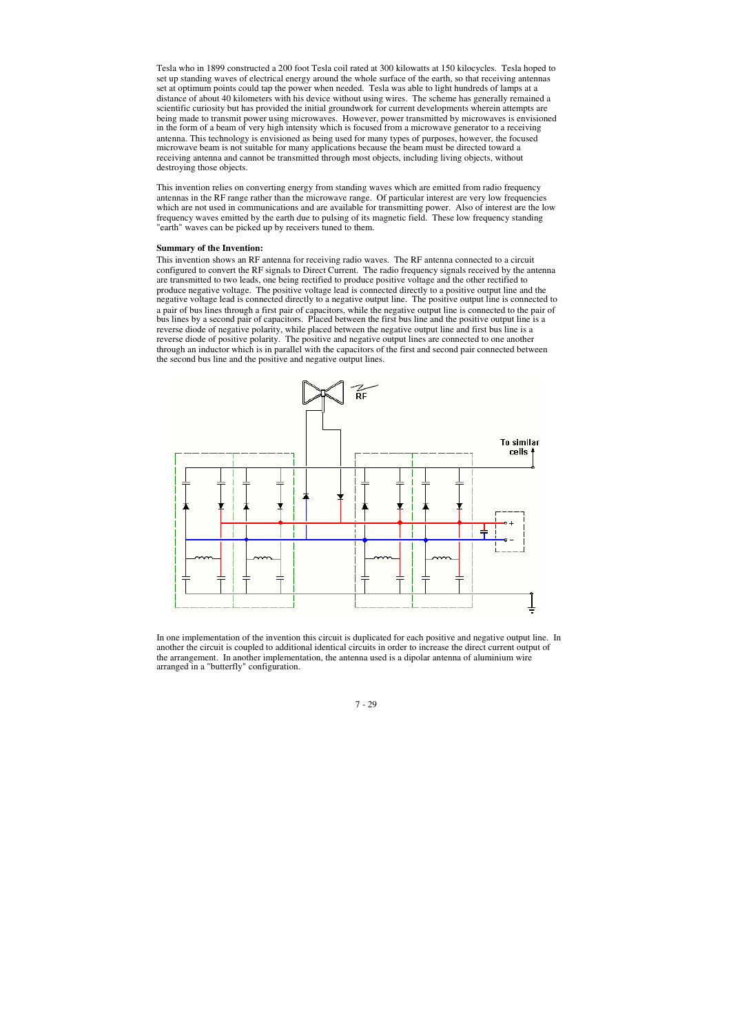Tesla who in 1899 constructed a 200 foot Tesla coil rated at 300 kilowatts at 150 kilocycles. Tesla hoped to set up standing waves of electrical energy around the whole surface of the earth, so that receiving antennas set at optimum points could tap the power when needed. Tesla was able to light hundreds of lamps at a distance of about 40 kilometers with his device without using wires. The scheme has generally remained a scientific curiosity but has provided the initial groundwork for current developments wherein attempts are being made to transmit power using microwaves. However, power transmitted by microwaves is envisioned in the form of a beam of very high intensity which is focused from a microwave generator to a receiving antenna. This technology is envisioned as being used for many types of purposes, however, the focused microwave beam is not suitable for many applications because the beam must be directed toward a receiving antenna and cannot be transmitted through most objects, including living objects, without destroying those objects.

This invention relies on converting energy from standing waves which are emitted from radio frequency antennas in the RF range rather than the microwave range. Of particular interest are very low frequencies which are not used in communications and are available for transmitting power. Also of interest are the low frequency waves emitted by the earth due to pulsing of its magnetic field. These low frequency standing "earth" waves can be picked up by receivers tuned to them.

#### **Summary of the Invention:**

This invention shows an RF antenna for receiving radio waves. The RF antenna connected to a circuit configured to convert the RF signals to Direct Current. The radio frequency signals received by the antenna are transmitted to two leads, one being rectified to produce positive voltage and the other rectified to produce negative voltage. The positive voltage lead is connected directly to a positive output line and the negative voltage lead is connected directly to a negative output line. The positive output line is connected to a pair of bus lines through a first pair of capacitors, while the negative output line is connected to the pair of bus lines by a second pair of capacitors. Placed between the first bus line and the positive output line is a reverse diode of negative polarity, while placed between the negative output line and first bus line is a reverse diode of positive polarity. The positive and negative output lines are connected to one another through an inductor which is in parallel with the capacitors of the first and second pair connected between the second bus line and the positive and negative output lines.



In one implementation of the invention this circuit is duplicated for each positive and negative output line. In another the circuit is coupled to additional identical circuits in order to increase the direct current output of the arrangement. In another implementation, the antenna used is a dipolar antenna of aluminium wire arranged in a "butterfly" configuration.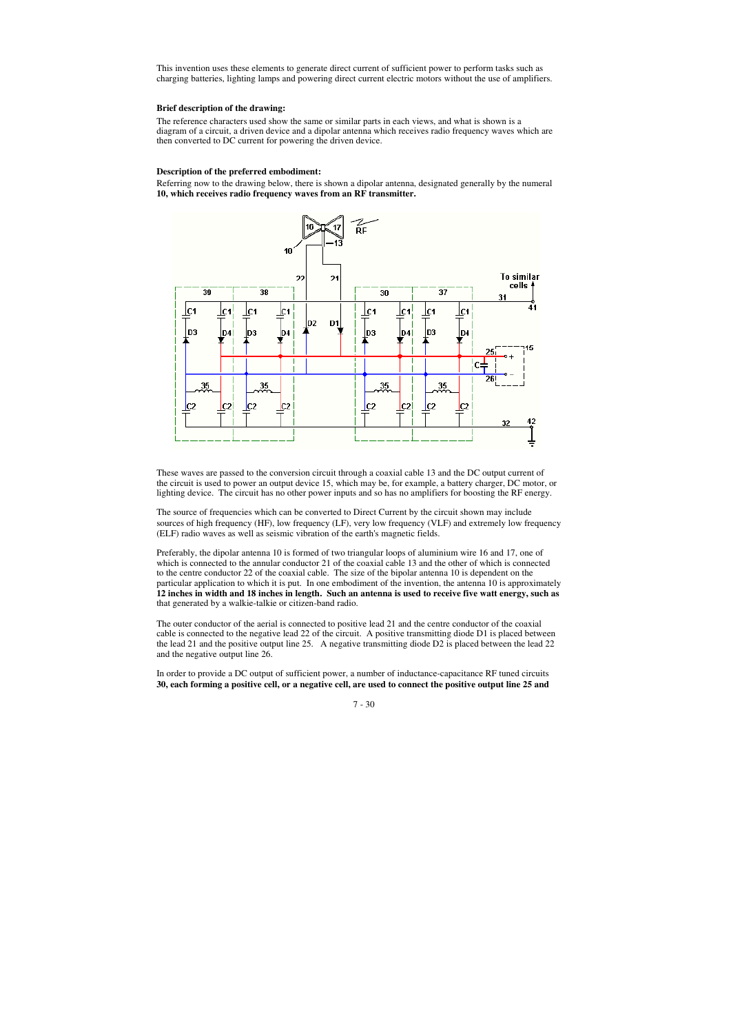This invention uses these elements to generate direct current of sufficient power to perform tasks such as charging batteries, lighting lamps and powering direct current electric motors without the use of amplifiers.

## **Brief description of the drawing:**

The reference characters used show the same or similar parts in each views, and what is shown is a diagram of a circuit, a driven device and a dipolar antenna which receives radio frequency waves which are then converted to DC current for powering the driven device.

### **Description of the preferred embodiment:**

Referring now to the drawing below, there is shown a dipolar antenna, designated generally by the numeral **10, which receives radio frequency waves from an RF transmitter.** 



These waves are passed to the conversion circuit through a coaxial cable 13 and the DC output current of the circuit is used to power an output device 15, which may be, for example, a battery charger, DC motor, or lighting device. The circuit has no other power inputs and so has no amplifiers for boosting the RF energy.

The source of frequencies which can be converted to Direct Current by the circuit shown may include sources of high frequency (HF), low frequency (LF), very low frequency (VLF) and extremely low frequency (ELF) radio waves as well as seismic vibration of the earth's magnetic fields.

Preferably, the dipolar antenna 10 is formed of two triangular loops of aluminium wire 16 and 17, one of which is connected to the annular conductor 21 of the coaxial cable 13 and the other of which is connected to the centre conductor 22 of the coaxial cable. The size of the bipolar antenna 10 is dependent on the particular application to which it is put. In one embodiment of the invention, the antenna 10 is approximately **12 inches in width and 18 inches in length. Such an antenna is used to receive five watt energy, such as**  that generated by a walkie-talkie or citizen-band radio.

The outer conductor of the aerial is connected to positive lead 21 and the centre conductor of the coaxial cable is connected to the negative lead 22 of the circuit. A positive transmitting diode D1 is placed between the lead 21 and the positive output line 25. A negative transmitting diode D2 is placed between the lead 22 and the negative output line 26.

In order to provide a DC output of sufficient power, a number of inductance-capacitance RF tuned circuits **30, each forming a positive cell, or a negative cell, are used to connect the positive output line 25 and**